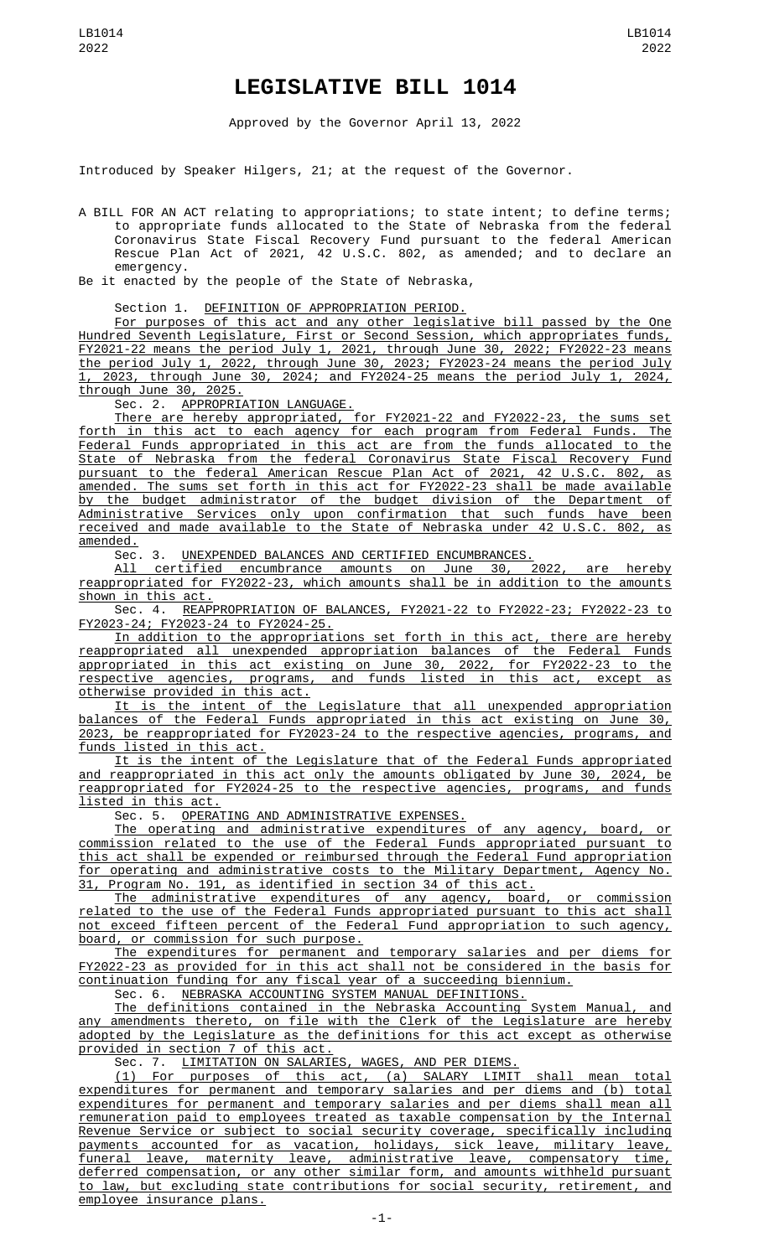## **LEGISLATIVE BILL 1014**

Approved by the Governor April 13, 2022

Introduced by Speaker Hilgers, 21; at the request of the Governor.

A BILL FOR AN ACT relating to appropriations; to state intent; to define terms; to appropriate funds allocated to the State of Nebraska from the federal Coronavirus State Fiscal Recovery Fund pursuant to the federal American Rescue Plan Act of 2021, 42 U.S.C. 802, as amended; and to declare an emergency.

Be it enacted by the people of the State of Nebraska,

## Section 1. DEFINITION OF APPROPRIATION PERIOD.

For purposes of this act and any other legislative bill passed by the One Hundred Seventh Legislature, First or Second Session, which appropriates funds, FY2021-22 means the period July 1, 2021, through June 30, 2022; FY2022-23 means the period July 1, 2022, through June 30, 2023; FY2023-24 means the period July 1, 2023, through June 30, 2024; and FY2024-25 means the period July 1, 2024, through June 30, 2025.

Sec. 2. <u>APPROPRIATION LANGUAGE.</u>

There are hereby appropriated, for FY2021-22 and FY2022-23, the sums set forth in this act to each agency for each program from Federal Funds. The Federal Funds appropriated in this act are from the funds allocated to the State of Nebraska from the federal Coronavirus State Fiscal Recovery Fund pursuant to the federal American Rescue Plan Act of 2021, 42 U.S.C. 802, as amended. The sums set forth in this act for FY2022-23 shall be made available by the budget administrator of the budget division of the Department of Administrative Services only upon confirmation that such funds have been received and made available to the State of Nebraska under 42 U.S.C. 802, as amended.

Sec. 3. UNEXPENDED BALANCES AND CERTIFIED ENCUMBRANCES.

All certified encumbrance amounts on June 30, 2022, are hereby reappropriated for FY2022-23, which amounts shall be in addition to the amounts shown in this act.

Sec. 4. REAPPROPRIATION OF BALANCES, FY2021-22 to FY2022-23; FY2022-23 to FY2023-24; FY2023-24 to FY2024-25.

In addition to the appropriations set forth in this act, there are hereby reappropriated all unexpended appropriation balances of the Federal Funds appropriated in this act existing on June 30, 2022, for FY2022-23 to the respective agencies, programs, and funds listed in this act, except as otherwise provided in this act.

It is the intent of the Legislature that all unexpended appropriation balances of the Federal Funds appropriated in this act existing on June 30, 2023, be reappropriated for FY2023-24 to the respective agencies, programs, and funds listed in this act.

It is the intent of the Legislature that of the Federal Funds appropriated and reappropriated in this act only the amounts obligated by June 30, 2024, be reappropriated for FY2024-25 to the respective agencies, programs, and funds listed in this act.

Sec. 5. OPERATING AND ADMINISTRATIVE EXPENSES.

The operating and administrative expenditures of any agency, board, or commission related to the use of the Federal Funds appropriated pursuant to this act shall be expended or reimbursed through the Federal Fund appropriation for operating and administrative costs to the Military Department, Agency No. 31, Program No. 191, as identified in section 34 of this act.

The administrative expenditures of any agency, board, or commission related to the use of the Federal Funds appropriated pursuant to this act shall not exceed fifteen percent of the Federal Fund appropriation to such agency, board, or commission for such purpose.

The expenditures for permanent and temporary salaries and per diems for FY2022-23 as provided for in this act shall not be considered in the basis for continuation funding for any fiscal year of a succeeding biennium.

Sec. 6. <u>NEBRASKA ACCOUNTING SYSTEM MANUAL DEFINITIONS.</u>

The definitions contained in the Nebraska Accounting System Manual, and any amendments thereto, on file with the Clerk of the Legislature are hereby adopted by the Legislature as the definitions for this act except as otherwise provided in section 7 of this act.

Sec. 7. LIMITATION ON SALARIES, WAGES, AND PER DIEMS.

(1) For purposes of this act, (a) SALARY LIMIT shall mean total expenditures for permanent and temporary salaries and per diems and (b) total expenditures for permanent and temporary salaries and per diems shall mean all remuneration paid to employees treated as taxable compensation by the Internal Revenue Service or subject to social security coverage, specifically including payments accounted for as vacation, holidays, sick leave, military leave, funeral leave, maternity leave, administrative leave, compensatory time, deferred compensation, or any other similar form, and amounts withheld pursuant to law, but excluding state contributions for social security, retirement, and employee insurance plans.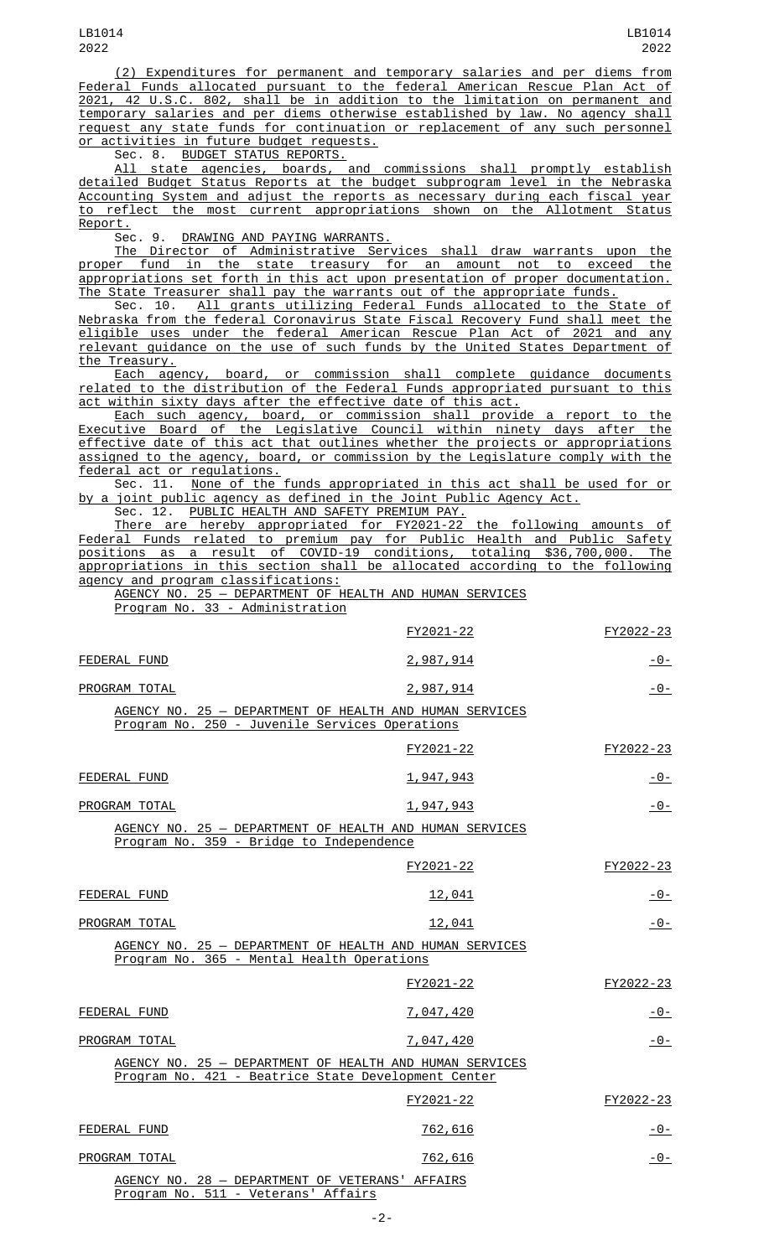(2) Expenditures for permanent and temporary salaries and per diems from Federal Funds allocated pursuant to the federal American Rescue Plan Act of 2021, 42 U.S.C. 802, shall be in addition to the limitation on permanent and temporary salaries and per diems otherwise established by law. No agency shall request any state funds for continuation or replacement of any such personnel <u>or activities in future budget requests.</u><br>Sec. 8. BUDGET STATUS REPORTS.

<u>BUDGET STATUS REPORTS.</u><br>e agencies, boards, and commissions shall promptly establish All state agencies, boards, and commissions shall promptly establish detailed Budget Status Reports at the budget subprogram level in the Nebraska Accounting System and adjust the reports as necessary during each fiscal year to reflect the most current appropriations shown on the Allotment Status Report.

Sec. 9. DRAWING AND PAYING WARRANTS.

The Director of Administrative Services shall draw warrants upon the proper fund in the state treasury for an amount not to exceed the appropriations set forth in this act upon presentation of proper documentation. The State Treasurer shall pay the warrants out of the appropriate funds.

Sec. 10. All grants utilizing Federal Funds allocated to the State of Nebraska from the federal Coronavirus State Fiscal Recovery Fund shall meet the eligible uses under the federal American Rescue Plan Act of 2021 and any relevant guidance on the use of such funds by the United States Department of the Treasury.

Each agency, board, or commission shall complete guidance documents related to the distribution of the Federal Funds appropriated pursuant to this act within sixty days after the effective date of this act.

Each such agency, board, or commission shall provide a report to the Executive Board of the Legislative Council within ninety days after the effective date of this act that outlines whether the projects or appropriations assigned to the agency, board, or commission by the Legislature comply with the **Federal act or regulations.**<br>Sec. 11. None of the

None of the funds appropriated in this act shall be used for or by a joint public agency as defined in the Joint Public Agency Act.

Sec. 12. PUBLIC HEALTH AND SAFETY PREMIUM PAY.

There are hereby appropriated for FY2021-22 the following amounts of Federal Funds related to premium pay for Public Health and Public Safety as a result of COVID-19 conditions, appropriations in this section shall be allocated according to the following agency and program classifications:

AGENCY NO. 25 — DEPARTMENT OF HEALTH AND HUMAN SERVICES Program No. 33 - Administration

|                                                                                                                | FY2021-22        | FY2022-23      |
|----------------------------------------------------------------------------------------------------------------|------------------|----------------|
| FEDERAL FUND                                                                                                   | 2,987,914        | $-0-$          |
| PROGRAM TOTAL                                                                                                  | 2,987,914        | $-0-$          |
| AGENCY NO. 25 - DEPARTMENT OF HEALTH AND HUMAN SERVICES<br>Program No. 250 - Juvenile Services Operations      |                  |                |
|                                                                                                                | FY2021-22        | FY2022-23      |
| FEDERAL FUND                                                                                                   | 1,947,943        | $-0-$          |
| PROGRAM TOTAL                                                                                                  | 1,947,943        | -0-            |
| AGENCY NO. 25 - DEPARTMENT OF HEALTH AND HUMAN SERVICES<br>Program No. 359 - Bridge to Independence            |                  |                |
|                                                                                                                | FY2021-22        | FY2022-23      |
| FEDERAL FUND                                                                                                   | 12,041           | <u> - 0 - </u> |
| PROGRAM TOTAL                                                                                                  | 12,041           | $-0-$          |
| AGENCY NO. 25 - DEPARTMENT OF HEALTH AND HUMAN SERVICES<br>Program No. 365 - Mental Health Operations          |                  |                |
|                                                                                                                | FY2021-22        | FY2022-23      |
| FEDERAL FUND                                                                                                   | 7,047,420        | $-0-$          |
| PROGRAM TOTAL                                                                                                  | <u>7,047,420</u> | -0-            |
| AGENCY NO. 25 - DEPARTMENT OF HEALTH AND HUMAN SERVICES<br>Program No. 421 - Beatrice State Development Center |                  |                |
|                                                                                                                | FY2021-22        | FY2022-23      |
| FEDERAL FUND                                                                                                   | 762,616          | $-0-$          |
| PROGRAM TOTAL                                                                                                  | 762,616          | -0-            |
| AGENCY NO. 28 - DEPARTMENT OF VETERANS' AFFAIRS<br>Program No. 511 - Veterans' Affairs                         |                  |                |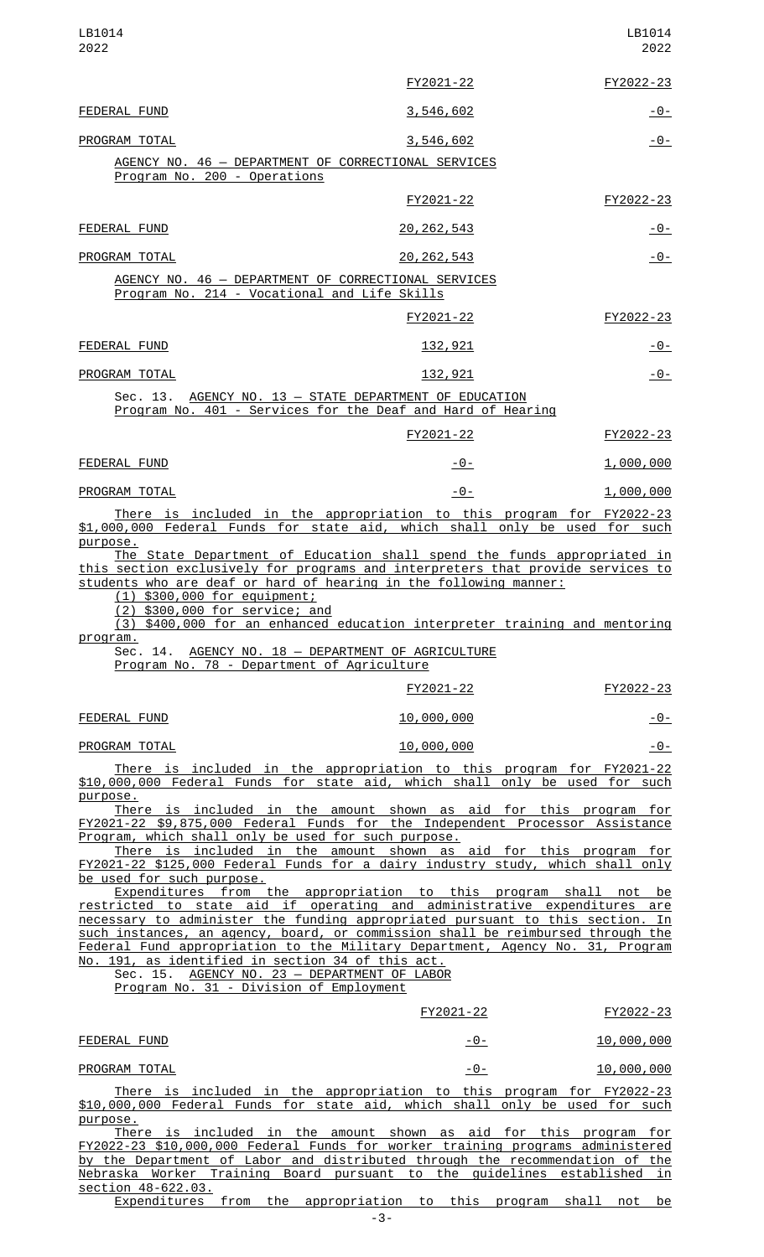| LB1014<br>2022                                                                                                                                                                                                                                                                                                                                                                                                                                                                |                                  | LB1014<br>2022    |
|-------------------------------------------------------------------------------------------------------------------------------------------------------------------------------------------------------------------------------------------------------------------------------------------------------------------------------------------------------------------------------------------------------------------------------------------------------------------------------|----------------------------------|-------------------|
|                                                                                                                                                                                                                                                                                                                                                                                                                                                                               | FY2021-22                        | FY2022-23         |
| FEDERAL FUND                                                                                                                                                                                                                                                                                                                                                                                                                                                                  | 3,546,602                        | <u> - 0 - </u>    |
| PROGRAM TOTAL                                                                                                                                                                                                                                                                                                                                                                                                                                                                 | 3,546,602                        | $ \Theta$ –       |
| AGENCY NO. 46 - DEPARTMENT OF CORRECTIONAL SERVICES<br>Program No. 200 - Operations                                                                                                                                                                                                                                                                                                                                                                                           |                                  |                   |
|                                                                                                                                                                                                                                                                                                                                                                                                                                                                               | FY2021-22                        | FY2022-23         |
| FEDERAL FUND                                                                                                                                                                                                                                                                                                                                                                                                                                                                  | 20, 262, 543                     | <u> - 0 - </u>    |
| PROGRAM TOTAL                                                                                                                                                                                                                                                                                                                                                                                                                                                                 | 20, 262, 543                     | $-0-$             |
| AGENCY NO. 46 - DEPARTMENT OF CORRECTIONAL SERVICES<br>Program No. 214 - Vocational and Life Skills                                                                                                                                                                                                                                                                                                                                                                           |                                  |                   |
|                                                                                                                                                                                                                                                                                                                                                                                                                                                                               | FY2021-22                        | FY2022-23         |
| FEDERAL FUND                                                                                                                                                                                                                                                                                                                                                                                                                                                                  | 132,921                          | $-0-$             |
| PROGRAM TOTAL                                                                                                                                                                                                                                                                                                                                                                                                                                                                 | <u>132,921</u>                   | $-0-$             |
| Sec. 13. AGENCY NO. 13 - STATE DEPARTMENT OF EDUCATION<br>Program No. 401 - Services for the Deaf and Hard of Hearing                                                                                                                                                                                                                                                                                                                                                         |                                  |                   |
|                                                                                                                                                                                                                                                                                                                                                                                                                                                                               | FY2021-22                        | FY2022-23         |
| FEDERAL FUND                                                                                                                                                                                                                                                                                                                                                                                                                                                                  | -0-                              | <u>1,000,000</u>  |
| PROGRAM TOTAL                                                                                                                                                                                                                                                                                                                                                                                                                                                                 | $-0-$                            | <u>1,000,000</u>  |
| There is included in the appropriation to this program for FY2022-23<br>\$1,000,000 Federal Funds for state aid, which shall only be used for such                                                                                                                                                                                                                                                                                                                            |                                  |                   |
| this section exclusively for programs and interpreters that provide services to<br>students who are deaf or hard of hearing in the following manner:<br>$(1)$ \$300,000 for equipment;<br>(2) \$300,000 for service; and<br>(3) \$400,000 for an enhanced education interpreter training and mentoring<br>program.<br>Sec. 14. AGENCY NO. 18 - DEPARTMENT OF AGRICULTURE<br>Program No. 78 - Department of Agriculture                                                        |                                  |                   |
|                                                                                                                                                                                                                                                                                                                                                                                                                                                                               | FY2021-22                        | FY2022-23         |
| FEDERAL FUND                                                                                                                                                                                                                                                                                                                                                                                                                                                                  | 10,000,000                       | <u>- 0 -</u>      |
| PROGRAM TOTAL                                                                                                                                                                                                                                                                                                                                                                                                                                                                 | 10,000,000                       | $-0-$             |
| <u>There is included in the appropriation to this program for FY2021-22</u><br>\$10,000,000 Federal Funds for state aid, which shall only be used for such<br>purpose.                                                                                                                                                                                                                                                                                                        |                                  |                   |
| There is included in the amount shown as aid for this program for<br>FY2021-22 \$9,875,000 Federal Funds for the Independent Processor Assistance<br>Program, which shall only be used for such purpose.<br>There is included in the amount shown as aid for this program for<br>FY2021-22 \$125,000 Federal Funds for a dairy industry study, which shall only                                                                                                               |                                  |                   |
| be used for such purpose.<br>Expenditures from the appropriation to this program shall not be                                                                                                                                                                                                                                                                                                                                                                                 |                                  |                   |
| restricted to state aid if operating and administrative expenditures are<br>necessary to administer the funding appropriated pursuant to this section. In<br>such instances, an agency, board, or commission shall be reimbursed through the<br>Federal Fund appropriation to the Military Department, Agency No. 31, Program<br>No. 191, as identified in section 34 of this act.<br>Sec. 15. AGENCY NO. 23 - DEPARTMENT OF LABOR<br>Program No. 31 - Division of Employment |                                  |                   |
|                                                                                                                                                                                                                                                                                                                                                                                                                                                                               | FY2021-22                        | FY2022-23         |
| FEDERAL FUND                                                                                                                                                                                                                                                                                                                                                                                                                                                                  | -0-                              | 10,000,000        |
| PROGRAM TOTAL                                                                                                                                                                                                                                                                                                                                                                                                                                                                 | $-0-$                            | 10,000,000        |
| There is included in the appropriation to this program for FY2022-23<br>\$10,000,000 Federal Funds for state aid, which shall only be used for such<br>purpose.                                                                                                                                                                                                                                                                                                               |                                  |                   |
| There is included in the amount shown as aid for this program for<br>FY2022-23 \$10,000,000 Federal Funds for worker training programs administered                                                                                                                                                                                                                                                                                                                           |                                  |                   |
| by the Department of Labor and distributed through the recommendation of the<br>Nebraska Worker Training                                                                                                                                                                                                                                                                                                                                                                      | Board pursuant to the guidelines | established<br>in |

section 48-622.03. Expenditures from the appropriation to this program shall not be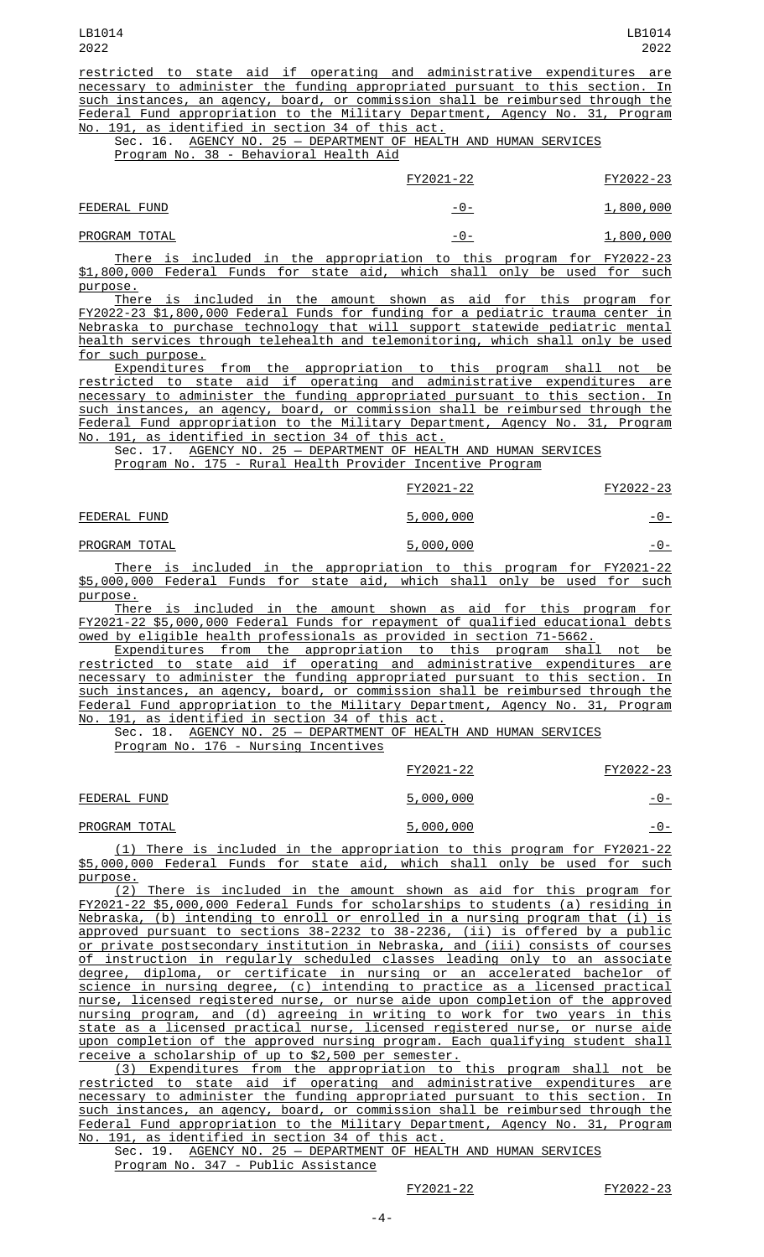restricted to state aid if operating and administrative expenditures are necessary to administer the funding appropriated pursuant to this section. In such instances, an agency, board, or commission shall be reimbursed through the Federal Fund appropriation to the Military Department, Agency No. 31, Program No. 191, as identified in section 34 of this act.

Sec. 16. AGENCY NO. 25 - DEPARTMENT OF HEALTH AND HUMAN SERVICES Program No. 38 - Behavioral Health Aid

|                                                                            |  |  |  | FY2021-22 |     |                                                                      |  | FY2022-23 |
|----------------------------------------------------------------------------|--|--|--|-----------|-----|----------------------------------------------------------------------|--|-----------|
| FEDERAL FUND                                                               |  |  |  |           | -0- |                                                                      |  | 1,800,000 |
| PROGRAM TOTAL                                                              |  |  |  |           | -0- |                                                                      |  | 1,800,000 |
|                                                                            |  |  |  |           |     | There is included in the appropriation to this program for FY2022-23 |  |           |
| \$1,800,000 Federal Funds for state aid, which shall only be used for such |  |  |  |           |     |                                                                      |  |           |

purpose.

There is included in the amount shown as aid for this program for FY2022-23 \$1,800,000 Federal Funds for funding for a pediatric trauma center in Nebraska to purchase technology that will support statewide pediatric mental health services through telehealth and telemonitoring, which shall only be used for such purpose.

Expenditures from the appropriation to this program shall not be restricted to state aid if operating and administrative expenditures are necessary to administer the funding appropriated pursuant to this section. In such instances, an agency, board, or commission shall be reimbursed through the Federal Fund appropriation to the Military Department, Agency No. 31, Program No. 191, as identified in section 34 of this act.

Sec. 17. AGENCY NO. 25 — DEPARTMENT OF HEALTH AND HUMAN SERVICES

Program No. 175 - Rural Health Provider Incentive Program

|               | FY2021-22 | FY2022-23      |
|---------------|-----------|----------------|
| FEDERAL FUND  | 5,000,000 | <u> - 0 - </u> |
| PROGRAM TOTAL | 5,000,000 | -0-            |

There is included in the appropriation to this program for FY2021-22 \$5,000,000 Federal Funds for state aid, which shall only be used for such purpose.

There is included in the amount shown as aid for this program for FY2021-22 \$5,000,000 Federal Funds for repayment of qualified educational debts owed by eligible health professionals as provided in section 71-5662.

Expenditures from the appropriation to this program shall not be restricted to state aid if operating and administrative expenditures are necessary to administer the funding appropriated pursuant to this section. In such instances, an agency, board, or commission shall be reimbursed through the Federal Fund appropriation to the Military Department, Agency No. 31, Program No. 191, as identified in section 34 of this act.

Sec. 18. AGENCY NO. 25 - DEPARTMENT OF HEALTH AND HUMAN SERVICES

Program No. 176 - Nursing Incentives

|               | FY2021-22 | FY2022-23 |
|---------------|-----------|-----------|
| FEDERAL FUND  | 5,000,000 | $-0-$     |
| PROGRAM TOTAL | 5,000,000 | - 0 -     |

(1) There is included in the appropriation to this program for FY2021-22 \$5,000,000 Federal Funds for state aid, which shall only be used for such purpose.

(2) There is included in the amount shown as aid for this program for FY2021-22 \$5,000,000 Federal Funds for scholarships to students (a) residing in Nebraska, (b) intending to enroll or enrolled in a nursing program that (i) is approved pursuant to sections 38-2232 to 38-2236, (ii) is offered by a public or private postsecondary institution in Nebraska, and (iii) consists of courses of instruction in regularly scheduled classes leading only to an associate degree, diploma, or certificate in nursing or an accelerated bachelor of science in nursing degree, (c) intending to practice as a licensed practical nurse, licensed registered nurse, or nurse aide upon completion of the approved nursing program, and (d) agreeing in writing to work for two years in this state as a licensed practical nurse, licensed registered nurse, or nurse aide upon completion of the approved nursing program. Each qualifying student shall receive a scholarship of up to \$2,500 per semester.

(3) Expenditures from the appropriation to this program shall not be restricted to state aid if operating and administrative expenditures are necessary to administer the funding appropriated pursuant to this section. In such instances, an agency, board, or commission shall be reimbursed through the<br>Federal Fund appropriation to the Military Department, Agency No. 31, Program Federal Fund appropriation to the Military Department, Agency No. 31, Program No. 191, as identified in section 34 of this act.

Sec. 19. AGENCY NO. 25 — DEPARTMENT OF HEALTH AND HUMAN SERVICES Program No. 347 - Public Assistance

FY2021-22 FY2022-23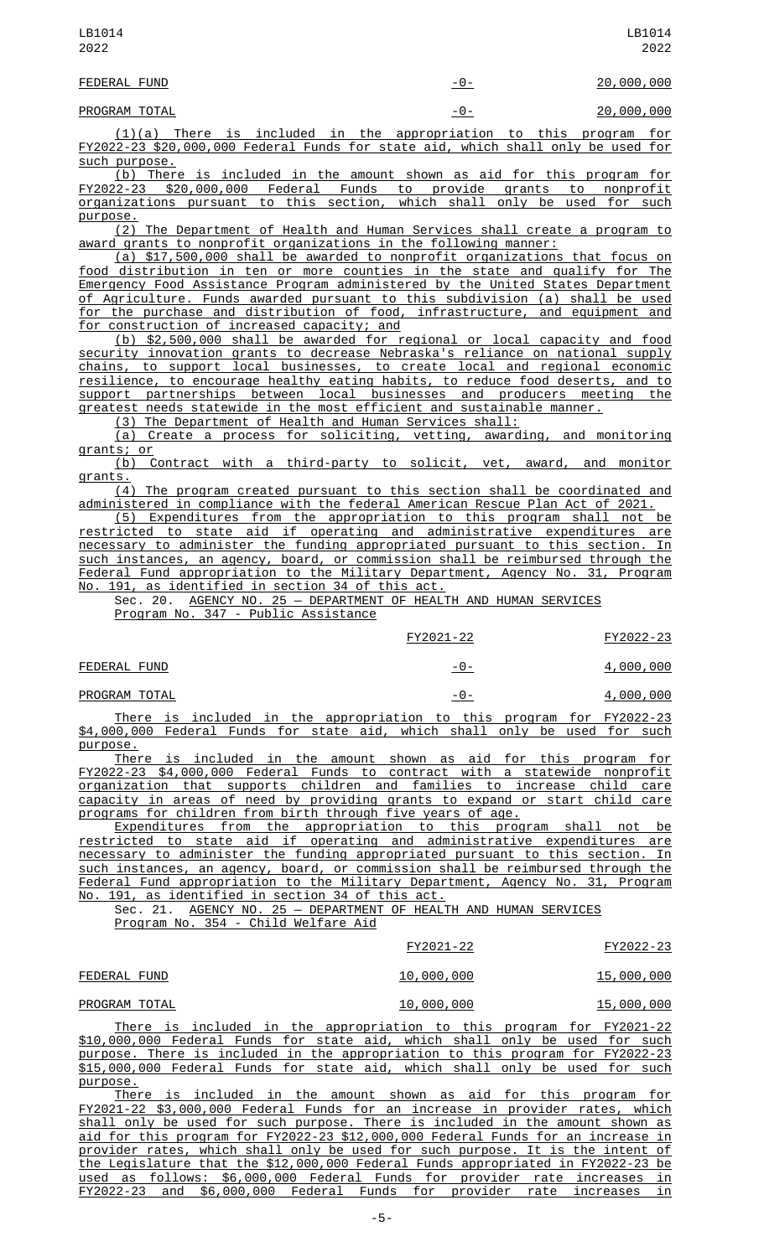| LB1014<br>2022 |       | LB1014<br>2022     |
|----------------|-------|--------------------|
| FEDERAL FUND   | $-0-$ | <u> 20,000,000</u> |
| PROGRAM TOTAL  | - 0 - | 20,000,000         |

(1)(a) There is included in the appropriation to this program for FY2022-23 \$20,000,000 Federal Funds for state aid, which shall only be used for

<u>such purpose.</u><br>(b) There is included in the amount shown as aid for this program for FY2022-23 \$20,000,000 Federal Funds to provide grants to nonprofit organizations pursuant to this section, which shall only be used for such purpose.

(2) The Department of Health and Human Services shall create a program to award grants to nonprofit organizations in the following manner:

(a) \$17,500,000 shall be awarded to nonprofit organizations that focus on food distribution in ten or more counties in the state and qualify for The Emergency Food Assistance Program administered by the United States Department of Agriculture. Funds awarded pursuant to this subdivision (a) shall be used for the purchase and distribution of food, infrastructure, and equipment and for construction of increased capacity; and

(b) \$2,500,000 shall be awarded for regional or local capacity and food security innovation grants to decrease Nebraska's reliance on national supply chains, to support local businesses, to create local and regional economic resilience, to encourage healthy eating habits, to reduce food deserts, and to support partnerships between local businesses and producers meeting the greatest needs statewide in the most efficient and sustainable manner.

(3) The Department of Health and Human Services shall:

(a) Create a process for soliciting, vetting, awarding, and monitoring grants; or

(b) Contract with a third-party to solicit, vet, award, and monitor grants.

(4) The program created pursuant to this section shall be coordinated and administered in compliance with the federal American Rescue Plan Act of 2021.

(5) Expenditures from the appropriation to this program shall not be restricted to state aid if operating and administrative expenditures are necessary to administer the funding appropriated pursuant to this section. In such instances, an agency, board, or commission shall be reimbursed through the Federal Fund appropriation to the Military Department, Agency No. 31, Program No. 191, as identified in section 34 of this act.

Sec. 20. AGENCY NO. 25 — DEPARTMENT OF HEALTH AND HUMAN SERVICES

Program No. 347 - Public Assistance

|              | FY2021-22 | FY2022-23 |
|--------------|-----------|-----------|
| FEDERAL FUND | - ७ -     | 4,000,000 |

|  | PROGRAM TOTAL | - 0 - | 4,000,000 |  |
|--|---------------|-------|-----------|--|
|--|---------------|-------|-----------|--|

There is included in the appropriation to this program for FY2022-23 \$4,000,000 Federal Funds for state aid, which shall only be used for such purpose.

There is included in the amount shown as aid for this program for FY2022-23 \$4,000,000 Federal Funds to contract with a statewide nonprofit organization that supports children and families to increase child care capacity in areas of need by providing grants to expand or start child care programs for children from birth through five years of age.

Expenditures from the appropriation to this program shall not be restricted to state aid if operating and administrative expenditures are necessary to administer the funding appropriated pursuant to this section. In such instances, an agency, board, or commission shall be reimbursed through the Federal Fund appropriation to the Military Department, Agency No. 31, Program No. 191, as identified in section 34 of this act.

Sec. 21. AGENCY NO. 25 — DEPARTMENT OF HEALTH AND HUMAN SERVICES Program No. 354 - Child Welfare Aid

| FY2021-22 | FY2022-23 |
|-----------|-----------|
|-----------|-----------|

FEDERAL FUND 10,000,000 15,000,000

## PROGRAM TOTAL 10,000,000 15,000,000 15,000,000

There is included in the appropriation to this program for FY2021-22 \$10,000,000 Federal Funds for state aid, which shall only be used for such purpose. There is included in the appropriation to this program for FY2022-23 \$15,000,000 Federal Funds for state aid, which shall only be used for such purpose.<br>There

is included in the amount shown as aid for this program for FY2021-22 \$3,000,000 Federal Funds for an increase in provider rates, which shall only be used for such purpose. There is included in the amount shown as aid for this program for FY2022-23 \$12,000,000 Federal Funds for an increase in provider rates, which shall only be used for such purpose. It is the intent of the Legislature that the \$12,000,000 Federal Funds appropriated in FY2022-23 be used as follows: \$6,000,000 Federal Funds for provider rate increases in FY2022-23 and \$6,000,000 Federal Funds for provider rate increases in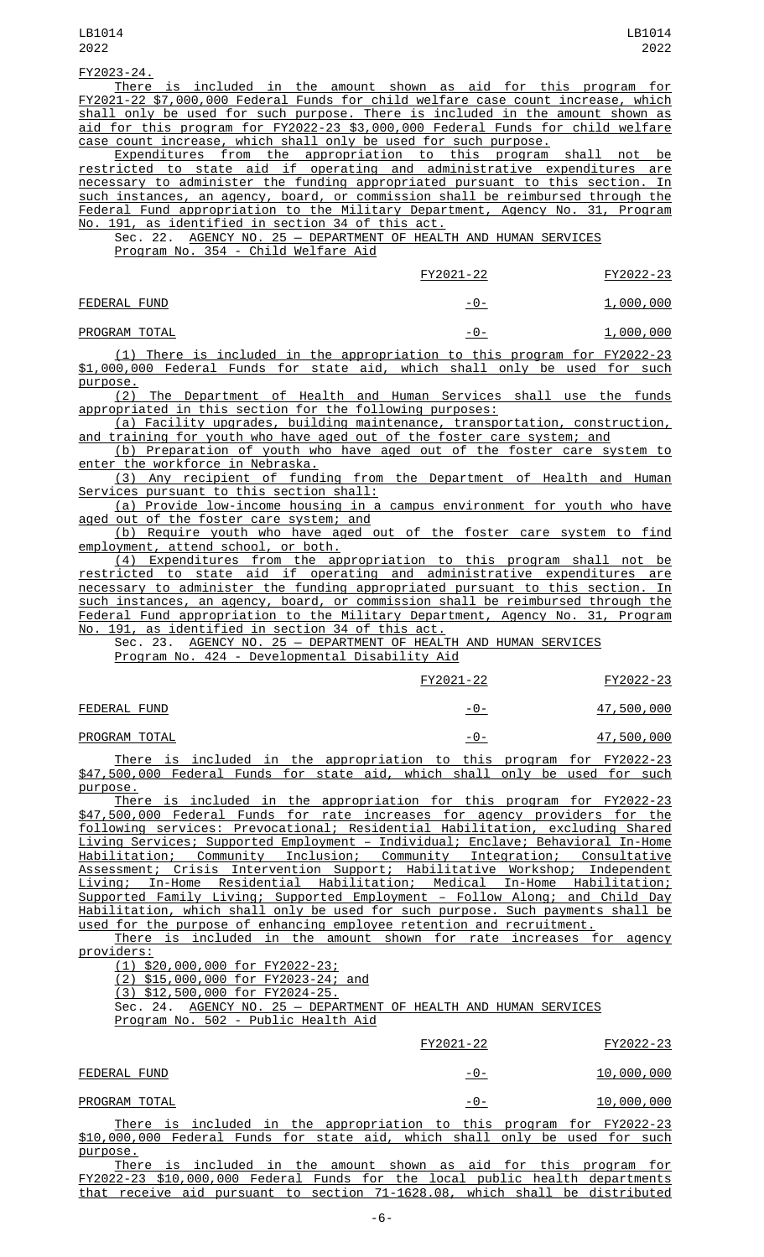FY2023-24.

There is included in the amount shown as aid for this program for FY2021-22 \$7,000,000 Federal Funds for child welfare case count increase, which shall only be used for such purpose. There is included in the amount shown as aid for this program for FY2022-23 \$3,000,000 Federal Funds for child welfare case count increase, which shall only be used for such purpose.

Expenditures from the appropriation to this program shall not be restricted to state aid if operating and administrative expenditures are necessary to administer the funding appropriated pursuant to this section. In such instances, an agency, board, or commission shall be reimbursed through the Federal Fund appropriation to the Military Department, Agency No. 31, Program No. 191, as identified in section 34 of this act.

Sec. 22. AGENCY NO. 25 — DEPARTMENT OF HEALTH AND HUMAN SERVICES Program No. 354 - Child Welfare Aid

|               | FY2021-22      | FY2022-23        |
|---------------|----------------|------------------|
| FEDERAL FUND  | <u> - 0 - </u> | <u>1,000,000</u> |
| PROGRAM TOTAL | -0-            | 1,000,000        |

(1) There is included in the appropriation to this program for FY2022-23 \$1,000,000 Federal Funds for state aid, which shall only be used for such purpose.

 $(2)$  The Department of Health and Human Services shall use the funds appropriated in this section for the following purposes:

(a) Facility upgrades, building maintenance, transportation, construction, and training for youth who have aged out of the foster care system; and

(b) Preparation of youth who have aged out of the foster care system to enter the workforce in Nebraska.

(3) Any recipient of funding from the Department of Health and Human Services pursuant to this section shall:

(a) Provide low-income housing in a campus environment for youth who have aged out of the foster care system; and

(b) Require youth who have aged out of the foster care system to find employment, attend school, or both.

(4) Expenditures from the appropriation to this program shall not be restricted to state aid if operating and administrative expenditures are necessary to administer the funding appropriated pursuant to this section. In such instances, an agency, board, or commission shall be reimbursed through the Federal Fund appropriation to the Military Department, Agency No. 31, Program No. 191, as identified in section 34 of this act.

Sec. 23. AGENCY NO. 25 — DEPARTMENT OF HEALTH AND HUMAN SERVICES Program No. 424 - Developmental Disability Aid

|               |  |  |                                                                      | FY2021-22 |  | FY2022-23         |
|---------------|--|--|----------------------------------------------------------------------|-----------|--|-------------------|
| FEDERAL FUND  |  |  |                                                                      | -0-       |  | 47,500,000        |
| PROGRAM TOTAL |  |  |                                                                      | -0-       |  | <u>47,500,000</u> |
|               |  |  | There is included in the appropriation to this program for FY2022-23 |           |  |                   |

There is included in the appropriation to this program for FY2022-23 \$47,500,000 Federal Funds for state aid, which shall only be used for such purpose.

There is included in the appropriation for this program for FY2022-23 \$47,500,000 Federal Funds for rate increases for agency providers for the following services: Prevocational; Residential Habilitation, excluding Shared Living Services; Supported Employment – Individual; Enclave; Behavioral In-Home Habilitation; Community Inclusion; Community Integration; Consultative Assessment; Crisis Intervention Support; Habilitative Workshop; Independent Living; In-Home Residential Habilitation; Medical In-Home Habilitation; Supported Family Living; Supported Employment – Follow Along; and Child Day Habilitation, which shall only be used for such purpose. Such payments shall be used for the purpose of enhancing employee retention and recruitment.

There is included in the amount shown for rate increases for agency providers:

(1) \$20,000,000 for FY2022-23;

(2) \$15,000,000 for FY2023-24; and

 $(3)$  \$12,500,000 for FY2024-25.<br>Sec. 24. AGENCY NO. 25 - DEPA

AGENCY NO. 25 - DEPARTMENT OF HEALTH AND HUMAN SERVICES Program No. 502 - Public Health Aid

|                                                                             | FY2021-22 | FY2022-23  |
|-----------------------------------------------------------------------------|-----------|------------|
| FEDERAL FUND                                                                | -0-       | 10,000,000 |
| PROGRAM TOTAL                                                               | -0-       | 10,000,000 |
| There is included in the appropriation to this program for FY2022-23        |           |            |
| \$10,000,000 Federal Funds for state aid, which shall only be used for such |           |            |
| purpose.                                                                    |           |            |
| Thara is included in the amount shown as aid for this program for           |           |            |

There is included in the amount shown as aid for this program for FY2022-23 \$10,000,000 Federal Funds for the local public health departments that receive aid pursuant to section 71-1628.08, which shall be distributed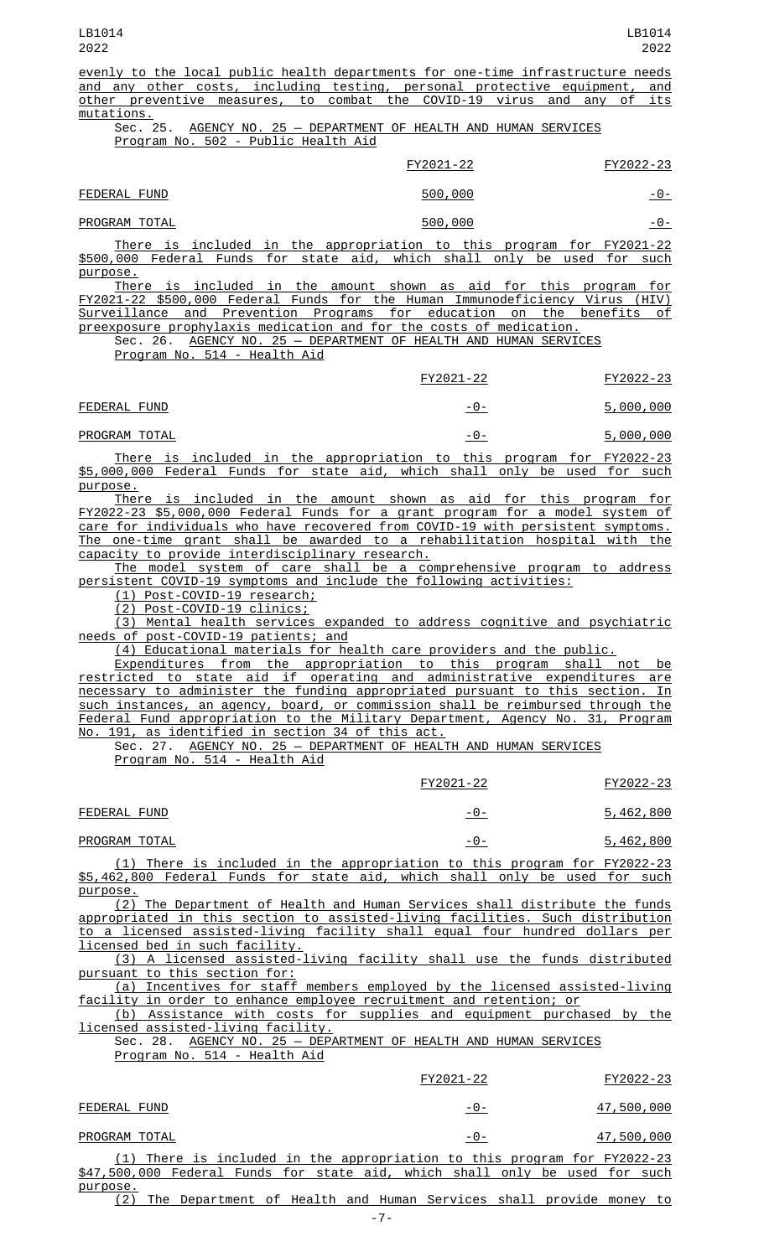evenly to the local public health departments for one-time infrastructure needs and any other costs, including testing, personal protective equipment, and<br>other preventive measures, to combat the COVID-19 virus and any of its other preventive measures, to combat the COVID-19 virus and any of mutations.

## Sec. 25. AGENCY NO. 25 — DEPARTMENT OF HEALTH AND HUMAN SERVICES Program No. 502 - Public Health Aid

| FY2022-23<br>FY2021-22   |                |
|--------------------------|----------------|
| 500,000<br>FEDERAL FUND  | <u>-0-</u>     |
| PROGRAM TOTAL<br>500,000 | <u> - 0 - </u> |

There is included in the appropriation to this program for FY2021-22 \$500,000 Federal Funds for state aid, which shall only be used for such purpose.

There is included in the amount shown as aid for this program for FY2021-22 \$500,000 Federal Funds for the Human Immunodeficiency Virus (HIV) Surveillance and Prevention Programs for education on the benefits of preexposure prophylaxis medication and for the costs of medication.

Sec. 26. AGENCY NO. 25 — DEPARTMENT OF HEALTH AND HUMAN SERVICES Program No. 514 - Health Aid

|               |  |                                                                      | FY2021-22 |  | FY2022-23        |
|---------------|--|----------------------------------------------------------------------|-----------|--|------------------|
| FEDERAL FUND  |  |                                                                      | -0-       |  | <u>5,000,000</u> |
| PROGRAM TOTAL |  |                                                                      | -0-       |  | 5,000,000        |
|               |  | There is included in the appropriation to this pressem for EV2022.22 |           |  |                  |

<u>Iuded in the appropriation to this program  $\overline{a}$ </u> \$5,000,000 Federal Funds for state aid, which shall only be used for such purpose.

There is included in the amount shown as aid for this program for FY2022-23 \$5,000,000 Federal Funds for a grant program for a model system of care for individuals who have recovered from COVID-19 with persistent symptoms. The one-time grant shall be awarded to a rehabilitation hospital with the capacity to provide interdisciplinary research.

The model system of care shall be a comprehensive program to address persistent COVID-19 symptoms and include the following activities:

(1) Post-COVID-19 research;

(2) Post-COVID-19 clinics;

(3) Mental health services expanded to address cognitive and psychiatric needs of post-COVID-19 patients; and

(4) Educational materials for health care providers and the public.

Expenditures from the appropriation to this program shall not be restricted to state aid if operating and administrative expenditures are necessary to administer the funding appropriated pursuant to this section. In such instances, an agency, board, or commission shall be reimbursed through the Federal Fund appropriation to the Military Department, Agency No. 31, Program No. 191, as identified in section 34 of this act.

Sec. 27. AGENCY NO. 25 — DEPARTMENT OF HEALTH AND HUMAN SERVICES <u>Program No. 514 - Health Aid</u>

|               | FY2021-22 | FY2022-23        |
|---------------|-----------|------------------|
| FEDERAL FUND  | -0-       | 5,462,800        |
| PROGRAM TOTAL | -0-       | <u>5,462,800</u> |

(1) There is included in the appropriation to this program for FY2022-23 \$5,462,800 Federal Funds for state aid, which shall only be used for such purpose.

(2) The Department of Health and Human Services shall distribute the funds appropriated in this section to assisted-living facilities. Such distribution to a licensed assisted-living facility shall equal four hundred dollars per licensed bed in such facility.

(3) A licensed assisted-living facility shall use the funds distributed pursuant to this section for:

(a) Incentives for staff members employed by the licensed assisted-living facility in order to enhance employee recruitment and retention; or

(b) Assistance with costs for supplies and equipment purchased by the licensed assisted-living facility.

Sec. 28. AGENCY NO. 25 - DEPARTMENT OF HEALTH AND HUMAN SERVICES Program No. 514 - Health Aid

|                                                                             | FY2021-22 | FY2022-23  |
|-----------------------------------------------------------------------------|-----------|------------|
| FEDERAL FUND                                                                | -0-       | 47,500,000 |
| PROGRAM TOTAL                                                               | -0-       | 47,500,000 |
| (1) There is included in the appropriation to this program for FY2022-23    |           |            |
| \$47,500,000 Federal Funds for state aid, which shall only be used for such |           |            |
| purpose.                                                                    |           |            |
| The Department of Health and Human Services shall provide money to          |           |            |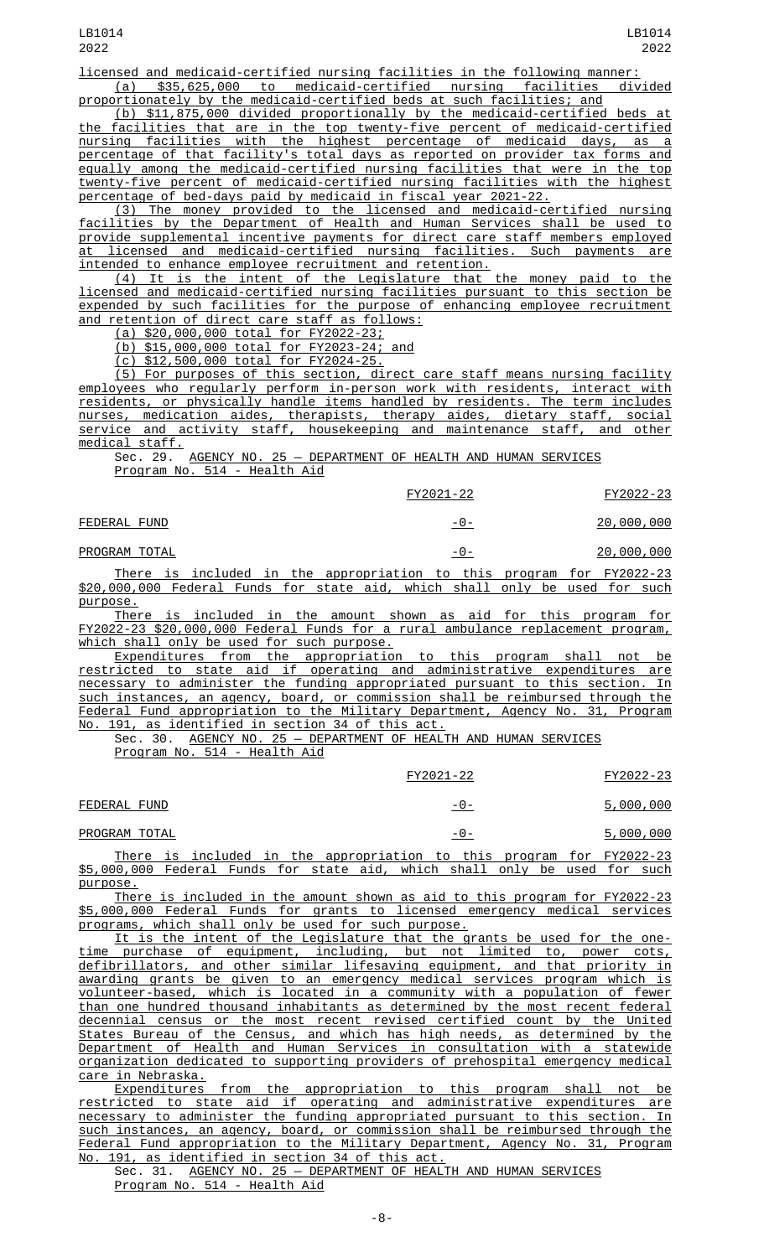licensed and medicaid-certified nursing facilities in the following manner: (a) \$35,625,000 to medicaid-certified nursing facilities divided

proportionately by the medicaid-certified beds at such facilities; and (b) \$11,875,000 divided proportionally by the medicaid-certified beds at the facilities that are in the top twenty-five percent of medicaid-certified nursing facilities with the highest percentage of medicaid days, as a percentage of that facility's total days as reported on provider tax forms and equally among the medicaid-certified nursing facilities that were in the top twenty-five percent of medicaid-certified nursing facilities with the highest

percentage of bed-days paid by medicaid in fiscal year 2021-22. (3) The money provided to the licensed and medicaid-certified nursing facilities by the Department of Health and Human Services shall be used to provide supplemental incentive payments for direct care staff members employed at licensed and medicaid-certified nursing facilities. Such payments are intended to enhance employee recruitment and retention.

(4) It is the intent of the Legislature that the money paid to the licensed and medicaid-certified nursing facilities pursuant to this section be expended by such facilities for the purpose of enhancing employee recruitment and retention of direct care staff as follows:

(a) \$20,000,000 total for FY2022-23;

(b) \$15,000,000 total for FY2023-24; and

(c) \$12,500,000 total for FY2024-25.

(5) For purposes of this section, direct care staff means nursing facility employees who regularly perform in-person work with residents, interact with residents, or physically handle items handled by residents. The term includes nurses, medication aides, therapists, therapy aides, dietary staff, social service and activity staff, housekeeping and maintenance staff, and other medical staff.

Sec. 29. AGENCY NO. 25 — DEPARTMENT OF HEALTH AND HUMAN SERVICES Program No. 514 - Health Aid

|                                                                                                                                                     | FY2021-22 | FY2022-23  |
|-----------------------------------------------------------------------------------------------------------------------------------------------------|-----------|------------|
| FEDERAL FUND                                                                                                                                        | -0-       | 20,000,000 |
| PROGRAM TOTAL                                                                                                                                       | -0-       | 20,000,000 |
| There is included in the appropriation to this program for FY2022-23<br>\$20,000,000 Federal Funds for state aid, which shall only be used for such |           |            |

\$20,000,000 Federal Funds for state aid, which shall only be used for such purpose. There is included in the amount shown as aid for this program for

FY2022-23 \$20,000,000 Federal Funds for a rural ambulance replacement program, which shall only be used for such purpose.

Expenditures from the appropriation to this program shall not be restricted to state aid if operating and administrative expenditures are necessary to administer the funding appropriated pursuant to this section. In such instances, an agency, board, or commission shall be reimbursed through the Federal Fund appropriation to the Military Department, Agency No. 31, Program No. 191, as identified in section 34 of this act.

Sec. 30. AGENCY NO. 25 — DEPARTMENT OF HEALTH AND HUMAN SERVICES Program No. 514 - Health Aid

|                                                                            |                                                                      |  |  | FY2021-22 |     |  |  | FY2022-23 |
|----------------------------------------------------------------------------|----------------------------------------------------------------------|--|--|-----------|-----|--|--|-----------|
| FEDERAL FUND                                                               |                                                                      |  |  |           | -0- |  |  | 5,000,000 |
| PROGRAM TOTAL                                                              |                                                                      |  |  |           | -0- |  |  | 5,000,000 |
|                                                                            | There is included in the appropriation to this program for FY2022-23 |  |  |           |     |  |  |           |
| \$5,000,000 Federal Funds for state aid, which shall only be used for such |                                                                      |  |  |           |     |  |  |           |

purpose. There is included in the amount shown as aid to this program for FY2022-23 \$5,000,000 Federal Funds for grants to licensed emergency medical services programs, which shall only be used for such purpose.

It is the intent of the Legislature that the grants be used for the onepurchase of equipment, including, but not limited to, power cots, defibrillators, and other similar lifesaving equipment, and that priority in awarding grants be given to an emergency medical services program which is volunteer-based, which is located in a community with a population of fewer than one hundred thousand inhabitants as determined by the most recent federal decennial census or the most recent revised certified count by the United States Bureau of the Census, and which has high needs, as determined by the Department of Health and Human Services in consultation with a statewide organization dedicated to supporting providers of prehospital emergency medical care in Nebraska.

Expenditures from the appropriation to this program shall not be restricted to state aid if operating and administrative expenditures are necessary to administer the funding appropriated pursuant to this section. In such instances, an agency, board, or commission shall be reimbursed through the Federal Fund appropriation to the Military Department, Agency No. 31, Program No. 191, as identified in section 34 of this act.

Sec. 31. AGENCY NO. 25 — DEPARTMENT OF HEALTH AND HUMAN SERVICES Program No. 514 - Health Aid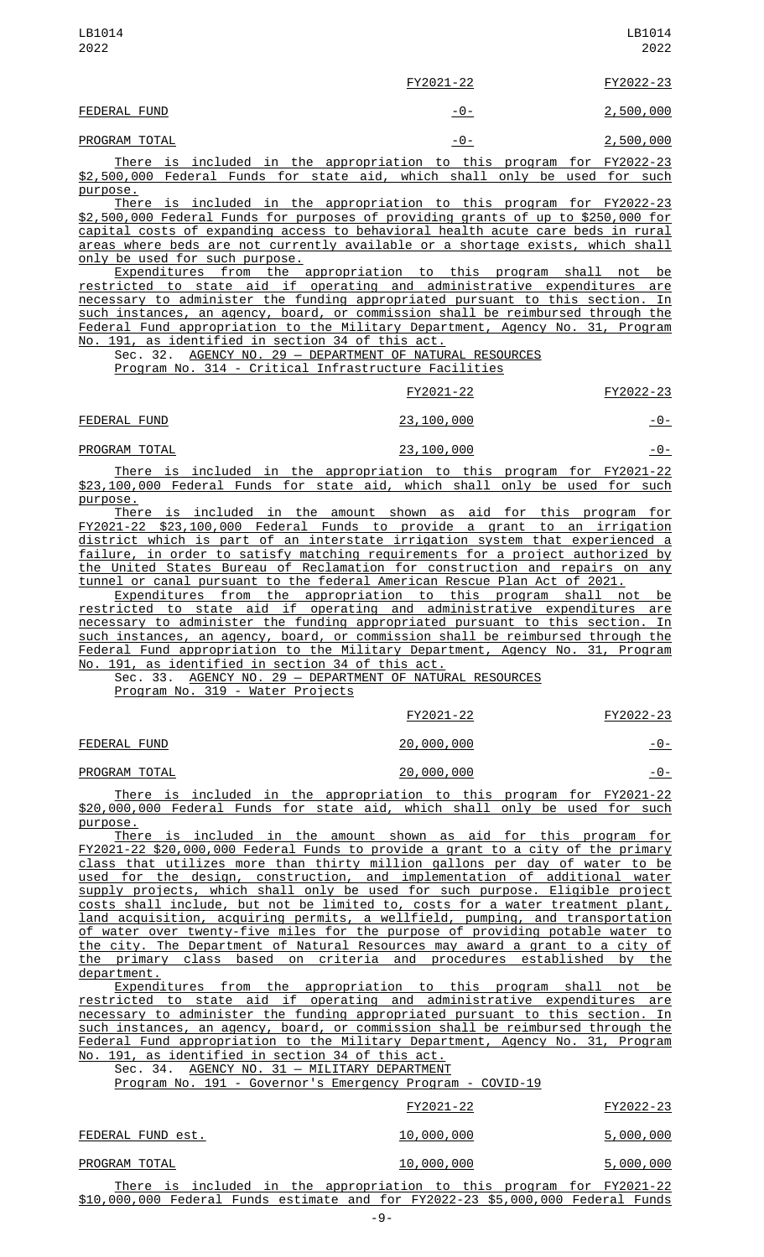| LB1014<br>2022 |                                                                     | LB1014<br>2022   |
|----------------|---------------------------------------------------------------------|------------------|
|                | FY2021-22                                                           | FY2022-23        |
| FEDERAL FUND   |                                                                     | 2,500,000<br>-0- |
| PROGRAM TOTAL  |                                                                     | 2,500,000<br>-0- |
|                | There is included in the annonriation to this program for EV2022.22 |                  |

There is included in the appropriation to this program for FY2022-23 \$2,500,000 Federal Funds for state aid, which shall only be used for such <u>purpose.</u><br>There

is included in the appropriation to this program for FY2022-23 \$2,500,000 Federal Funds for purposes of providing grants of up to \$250,000 for capital costs of expanding access to behavioral health acute care beds in rural areas where beds are not currently available or a shortage exists, which shall only be used for such purpose.

Expenditures from the appropriation to this program shall not be restricted to state aid if operating and administrative expenditures are necessary to administer the funding appropriated pursuant to this section. In such instances, an agency, board, or commission shall be reimbursed through the Federal Fund appropriation to the Military Department, Agency No. 31, Program No. 191, as identified in section 34 of this act.

Sec. 32. AGENCY NO. 29 — DEPARTMENT OF NATURAL RESOURCES Program No. 314 - Critical Infrastructure Facilities

|              | FY2021-22  | FY2022-23     |
|--------------|------------|---------------|
| FEDERAL FUND | 23,100,000 | <u>- 0 - </u> |

| PROGRAM TOTAL | 23,100,000 | <u>-७-</u> |
|---------------|------------|------------|
|               |            |            |

There is included in the appropriation to this program for FY2021-22 \$23,100,000 Federal Funds for state aid, which shall only be used for such purpose.

There is included in the amount shown as aid for this program for FY2021-22 \$23,100,000 Federal Funds to provide a grant to an irrigation district which is part of an interstate irrigation system that experienced a failure, in order to satisfy matching requirements for a project authorized by the United States Bureau of Reclamation for construction and repairs on any tunnel or canal pursuant to the federal American Rescue Plan Act of 2021.

Expenditures from the appropriation to this program shall not be restricted to state aid if operating and administrative expenditures are necessary to administer the funding appropriated pursuant to this section. In such instances, an agency, board, or commission shall be reimbursed through the Federal Fund appropriation to the Military Department, Agency No. 31, Program No. 191, as identified in section 34 of this act.

Sec. 33. AGENCY NO. 29 - DEPARTMENT OF NATURAL RESOURCES

Program No. 319 - Water Projects

| FEDERAL FUND |  |
|--------------|--|
|              |  |

PROGRAM TOTAL 20,000,000 20,000,000

FY2021-22 FY2022-23

 $\frac{20,000,000}{ }$ 

There is included in the appropriation to this program for FY2021-22 \$20,000,000 Federal Funds for state aid, which shall only be used for such purpose.

There is included in the amount shown as aid for this program for FY2021-22 \$20,000,000 Federal Funds to provide a grant to a city of the primary class that utilizes more than thirty million gallons per day of water to be used for the design, construction, and implementation of additional water supply projects, which shall only be used for such purpose. Eligible project costs shall include, but not be limited to, costs for a water treatment plant, land acquisition, acquiring permits, a wellfield, pumping, and transportation of water over twenty-five miles for the purpose of providing potable water to the city. The Department of Natural Resources may award a grant to a city of the primary class based on criteria and procedures established by the department.

Expenditures from the appropriation to this program shall not be restricted to state aid if operating and administrative expenditures are necessary to administer the funding appropriated pursuant to this section. In such instances, an agency, board, or commission shall be reimbursed through the Federal Fund appropriation to the Military Department, Agency No. 31, Program No. 191, as identified in section 34 of this act.

Sec. 34. AGENCY NO. 31 — MILITARY DEPARTMENT

|  |  |  | Program No. 191 - Governor's Emergency Program - COVID-19 |  |  |
|--|--|--|-----------------------------------------------------------|--|--|
|  |  |  |                                                           |  |  |

|                                                                                                                                                                | FY2021-22         | FY2022-23 |
|----------------------------------------------------------------------------------------------------------------------------------------------------------------|-------------------|-----------|
| FEDERAL FUND est.                                                                                                                                              | 10,000,000        | 5,000,000 |
| PROGRAM TOTAL                                                                                                                                                  | <u>10,000,000</u> | 5,000,000 |
| <u>There is included in the appropriation to this program for FY2021-22</u><br>\$10,000,000 Federal Funds estimate and for FY2022-23 \$5,000,000 Federal Funds |                   |           |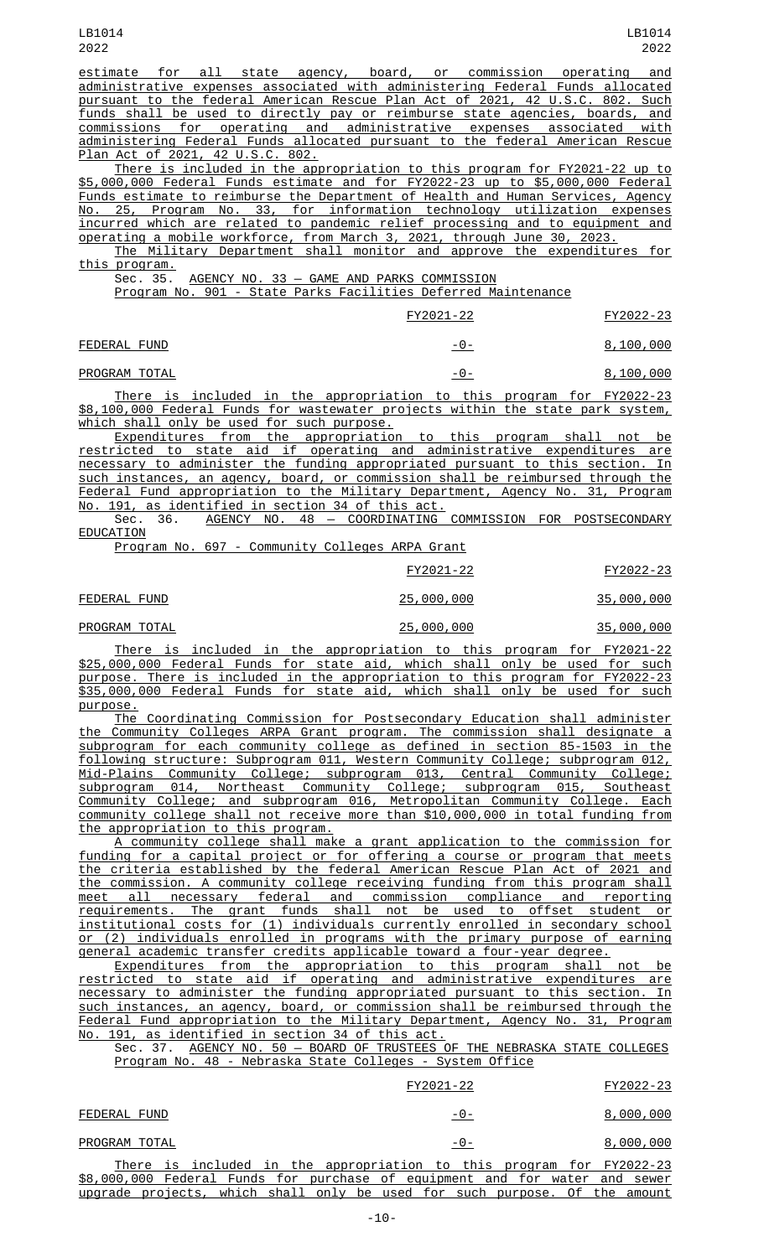estimate for all state agency, board, or commission operating and administrative expenses associated with administering Federal Funds allocated pursuant to the federal American Rescue Plan Act of 2021, 42 U.S.C. 802. Such funds shall be used to directly pay or reimburse state agencies, boards, and commissions for operating and administrative expenses associated with administering Federal Funds allocated pursuant to the federal American Rescue Plan Act of 2021, 42 U.S.C. 802.

There is included in the appropriation to this program for FY2021-22 up to \$5,000,000 Federal Funds estimate and for FY2022-23 up to \$5,000,000 Federal Funds estimate to reimburse the Department of Health and Human Services, Agency No. 25, Program No. 33, for information technology utilization expenses incurred which are related to pandemic relief processing and to equipment and operating a mobile workforce, from March 3, 2021, through June 30, 2023.

The Military Department shall monitor and approve the expenditures for this program.<br>Sec. 35.

AGENCY NO. 33 - GAME AND PARKS COMMISSION

Program No. 901 - State Parks Facilities Deferred Maintenance

|               | FY2021-22                                                            | FY2022-23 |
|---------------|----------------------------------------------------------------------|-----------|
| FEDERAL FUND  | -0-                                                                  | 8,100,000 |
| PROGRAM TOTAL | -0-                                                                  | 8,100,000 |
|               | There is included in the encountables to this specular few FV0000.00 |           |

There is included in the appropriation to this program for FY2022-23 \$8,100,000 Federal Funds for wastewater projects within the state park system, which shall only be used for such purpose.

Expenditures from the appropriation to this program shall not be restricted to state aid if operating and administrative expenditures are necessary to administer the funding appropriated pursuant to this section. In such instances, an agency, board, or commission shall be reimbursed through the Federal Fund appropriation to the Military Department, Agency No. 31, Program No. 191, as identified in section 34 of this act.

Sec. 36. <u>AGENCY NO. 48 — COORDINATING COMMISSION FOR POSTSECONDARY</u> EDUCATION

Program No. 697 - Community Colleges ARPA Grant

|               | FY2021-22          | FY2022-23         |
|---------------|--------------------|-------------------|
| FEDERAL FUND  | <u> 25,000,000</u> | <u>35,000,000</u> |
| PROGRAM TOTAL | 25,000,000         | <u>35,000,000</u> |
|               |                    |                   |

There is included in the appropriation to this program for FY2021-22 \$25,000,000 Federal Funds for state aid, which shall only be used for such purpose. There is included in the appropriation to this program for FY2022-23 \$35,000,000 Federal Funds for state aid, which shall only be used for such purpose.

The Coordinating Commission for Postsecondary Education shall administer the Community Colleges ARPA Grant program. The commission shall designate a subprogram for each community college as defined in section 85-1503 in the following structure: Subprogram 011, Western Community College; subprogram 012, Mid-Plains Community College; subprogram 013, Central Community College; subprogram 014, Northeast Community College; subprogram 015, Southeast Community College; and subprogram 016, Metropolitan Community College. Each community college shall not receive more than \$10,000,000 in total funding from the appropriation to this program.

A community college shall make a grant application to the commission for funding for a capital project or for offering a course or program that meets the criteria established by the federal American Rescue Plan Act of 2021 and the commission. A community college receiving funding from this program shall meet all necessary federal and commission compliance and reporting requirements. The grant funds shall not be used to offset student or institutional costs for (1) individuals currently enrolled in secondary school or (2) individuals enrolled in programs with the primary purpose of earning general academic transfer credits applicable toward a four-year degree.

Expenditures from the appropriation to this program shall not be restricted to state aid if operating and administrative expenditures are necessary to administer the funding appropriated pursuant to this section. In such instances, an agency, board, or commission shall be reimbursed through the Federal Fund appropriation to the Military Department, Agency No. 31, Program No. 191, as identified in section 34 of this act.

Sec. 37. AGENCY NO. 50 — BOARD OF TRUSTEES OF THE NEBRASKA STATE COLLEGES Program No. 48 - Nebraska State Colleges - System Office

|                                                                             | FY2021-22    | FY2022-23 |
|-----------------------------------------------------------------------------|--------------|-----------|
| FEDERAL FUND                                                                | <u>- 0 -</u> | 8,000,000 |
| PROGRAM TOTAL                                                               | -0-          | 8,000,000 |
| There is included in the appropriation to this program for FY2022-23        |              |           |
| \$8,000,000 Federal Funds for purchase of equipment and for water and sewer |              |           |
| upgrade projects, which shall only be used for such purpose. Of the amount  |              |           |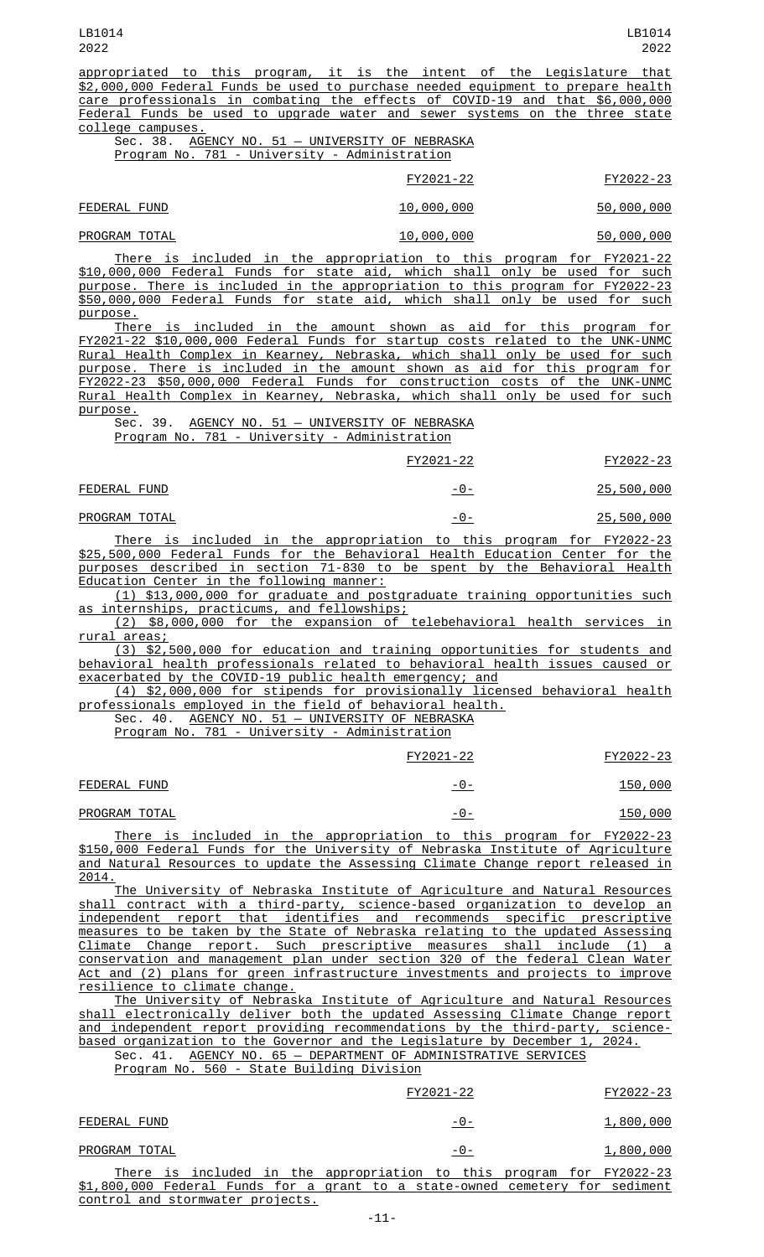| appropriated to this program, it is the intent of the Legislature that           |           |
|----------------------------------------------------------------------------------|-----------|
| \$2,000,000 Federal Funds be used to purchase needed equipment to prepare health |           |
| care professionals in combating the effects of COVID-19 and that \$6,000,000     |           |
| Federal Funds be used to upgrade water and sewer systems on the three state      |           |
| college campuses.                                                                |           |
| Sec. 38. AGENCY NO. 51 - UNIVERSITY OF NEBRASKA                                  |           |
| Program No. 781 - University - Administration                                    |           |
|                                                                                  |           |
| FY2021-22                                                                        | FY2022-23 |

| FEDERAL FUND  | 10,000,000 | 50,000,000 |
|---------------|------------|------------|
| PROGRAM TOTAL | 10,000,000 | 50,000,000 |

There is included in the appropriation to this program for FY2021-22 \$10,000,000 Federal Funds for state aid, which shall only be used for such purpose. There is included in the appropriation to this program for FY2022-23 \$50,000,000 Federal Funds for state aid, which shall only be used for such purpose.

There is included in the amount shown as aid for this program for FY2021-22 \$10,000,000 Federal Funds for startup costs related to the UNK-UNMC Rural Health Complex in Kearney, Nebraska, which shall only be used for such purpose. There is included in the amount shown as aid for this program for FY2022-23 \$50,000,000 Federal Funds for construction costs of the UNK-UNMC Rural Health Complex in Kearney, Nebraska, which shall only be used for such purpose.

Sec. 39. AGENCY NO. 51 - UNIVERSITY OF NEBRASKA Program No. 781 - University - Administration

| FY2021-22 | FY2022-23 |
|-----------|-----------|
|           |           |

| FEDERAL FUND  | -0- | 25,500,000 |
|---------------|-----|------------|
| PROGRAM TOTAL | -0- | 25,500,000 |

There is included in the appropriation to this program for FY2022-23 \$25,500,000 Federal Funds for the Behavioral Health Education Center for the purposes described in section 71-830 to be spent by the Behavioral Health Education Center in the following manner:

(1) \$13,000,000 for graduate and postgraduate training opportunities such as internships, practicums, and fellowships;

(2) \$8,000,000 for the expansion of telebehavioral health services in <u>rural areas;</u>

(3) \$2,500,000 for education and training opportunities for students and behavioral health professionals related to behavioral health issues caused or exacerbated by the COVID-19 public health emergency; and

(4) \$2,000,000 for stipends for provisionally licensed behavioral health professionals employed in the field of behavioral health.

Sec. 40. AGENCY NO. 51 - UNIVERSITY OF NEBRASKA

Program No. 781 - University - Administration

|               | FY2021-22 | FY2022-23 |
|---------------|-----------|-----------|
| FEDERAL FUND  | -0-       | 150,000   |
| PROGRAM TOTAL | -0-       | 150,000   |

There is included in the appropriation to this program for FY2022-23 \$150,000 Federal Funds for the University of Nebraska Institute of Agriculture and Natural Resources to update the Assessing Climate Change report released in 2014.

The University of Nebraska Institute of Agriculture and Natural Resources shall contract with a third-party, science-based organization to develop an independent report that identifies and recommends specific prescriptive measures to be taken by the State of Nebraska relating to the updated Assessing Climate Change report. Such prescriptive measures shall include (1) a conservation and management plan under section 320 of the federal Clean Water Act and (2) plans for green infrastructure investments and projects to improve resilience to climate change.

The University of Nebraska Institute of Agriculture and Natural Resources shall electronically deliver both the updated Assessing Climate Change report and independent report providing recommendations by the third-party, sciencebased organization to the Governor and the Legislature by December 1, 2024.

Sec. 41. AGENCY NO. 65 - DEPARTMENT OF ADMINISTRATIVE SERVICES Program No. 560 - State Building Division

|                                  | FY2021-22                                                                    | FY2022-23 |
|----------------------------------|------------------------------------------------------------------------------|-----------|
| FEDERAL FUND                     | -0-                                                                          | 1,800,000 |
| PROGRAM TOTAL                    | -0-                                                                          | 1,800,000 |
|                                  | There is included in the appropriation to this program for FY2022-23         |           |
|                                  | \$1,800,000 Federal Funds for a grant to a state-owned cemetery for sediment |           |
| control and stormwater projects. |                                                                              |           |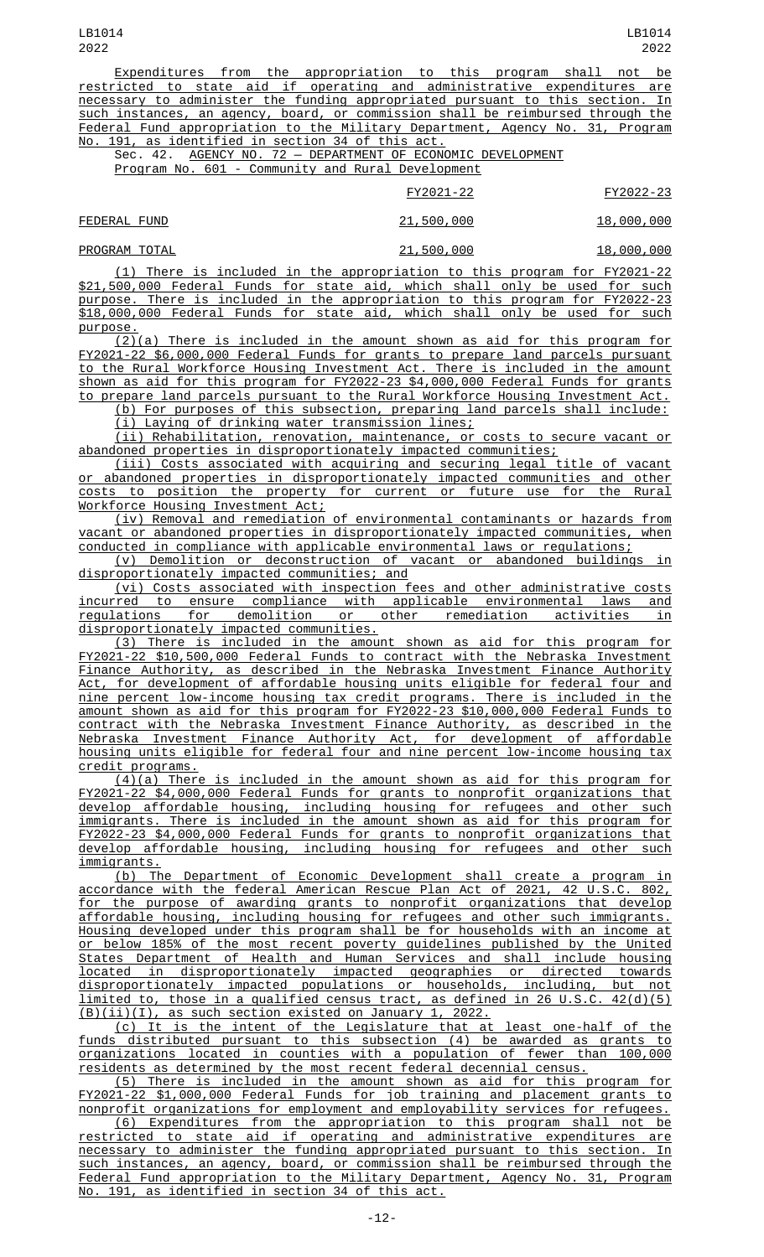Expenditures from the appropriation to this program shall not be restricted to state aid if operating and administrative expenditures are necessary to administer the funding appropriated pursuant to this section. In such instances, an agency, board, or commission shall be reimbursed through the Federal Fund appropriation to the Military Department, Agency No. 31, Program No. 191, as identified in section 34 of this act.

Sec. 42. AGENCY NO. 72 - DEPARTMENT OF ECONOMIC DEVELOPMENT

Program No. 601 - Community and Rural Development

|               | FY2021-22  | FY2022-23  |
|---------------|------------|------------|
| FEDERAL FUND  | 21,500,000 | 18,000,000 |
| PROGRAM TOTAL | 21,500,000 | 18,000,000 |

(1) There is included in the appropriation to this program for FY2021-22 \$21,500,000 Federal Funds for state aid, which shall only be used for such purpose. There is included in the appropriation to this program for FY2022-23 \$18,000,000 Federal Funds for state aid, which shall only be used for such purpose.

(2)(a) There is included in the amount shown as aid for this program for FY2021-22 \$6,000,000 Federal Funds for grants to prepare land parcels pursuant to the Rural Workforce Housing Investment Act. There is included in the amount shown as aid for this program for FY2022-23 \$4,000,000 Federal Funds for grants to prepare land parcels pursuant to the Rural Workforce Housing Investment Act.

(b) For purposes of this subsection, preparing land parcels shall include: (i) Laying of drinking water transmission lines;

(ii) Rehabilitation, renovation, maintenance, or costs to secure vacant or abandoned properties in disproportionately impacted communities;

(iii) Costs associated with acquiring and securing legal title of vacant or abandoned properties in disproportionately impacted communities and other costs to position the property for current or future use for the Rural Workforce Housing Investment Act;

(iv) Removal and remediation of environmental contaminants or hazards from vacant or abandoned properties in disproportionately impacted communities, when conducted in compliance with applicable environmental laws or regulations;

(v) Demolition or deconstruction of vacant or abandoned buildings in disproportionately impacted communities; and

(vi) Costs associated with inspection fees and other administrative costs incurred to ensure compliance with applicable environmental laws and regulations for demolition or other remediation activities in disproportionately impacted communities.

(3) There is included in the amount shown as aid for this program for FY2021-22 \$10,500,000 Federal Funds to contract with the Nebraska Investment Finance Authority, as described in the Nebraska Investment Finance Authority Act, for development of affordable housing units eligible for federal four and nine percent low-income housing tax credit programs. There is included in the amount shown as aid for this program for FY2022-23 \$10,000,000 Federal Funds to contract with the Nebraska Investment Finance Authority, as described in the Nebraska Investment Finance Authority Act, for development of affordable housing units eligible for federal four and nine percent low-income housing tax credit programs.

(4)(a) There is included in the amount shown as aid for this program for FY2021-22 \$4,000,000 Federal Funds for grants to nonprofit organizations that develop affordable housing, including housing for refugees and other such immigrants. There is included in the amount shown as aid for this program for FY2022-23 \$4,000,000 Federal Funds for grants to nonprofit organizations that develop affordable housing, including housing for refugees and other such immigrants.

(b) The Department of Economic Development shall create a program in accordance with the federal American Rescue Plan Act of 2021, 42 U.S.C. 802, for the purpose of awarding grants to nonprofit organizations that develop affordable housing, including housing for refugees and other such immigrants. Housing developed under this program shall be for households with an income at or below 185% of the most recent poverty guidelines published by the United States Department of Health and Human Services and shall include housing located in disproportionately impacted geographies or directed towards disproportionately impacted populations or households, including, but not limited to, those in a qualified census tract, as defined in 26 U.S.C. 42(d)(5) (B)(ii)(I), as such section existed on January 1, 2022.

(c) It is the intent of the Legislature that at least one-half of the funds distributed pursuant to this subsection (4) be awarded as grants to organizations located in counties with a population of fewer than 100,000 residents as determined by the most recent federal decennial census.

(5) There is included in the amount shown as aid for this program for FY2021-22 \$1,000,000 Federal Funds for job training and placement grants to nonprofit organizations for employment and employability services for refugees.

(6) Expenditures from the appropriation to this program shall not be restricted to state aid if operating and administrative expenditures are necessary to administer the funding appropriated pursuant to this section. In such instances, an agency, board, or commission shall be reimbursed through the Federal Fund appropriation to the Military Department, Agency No. 31, Program No. 191, as identified in section 34 of this act.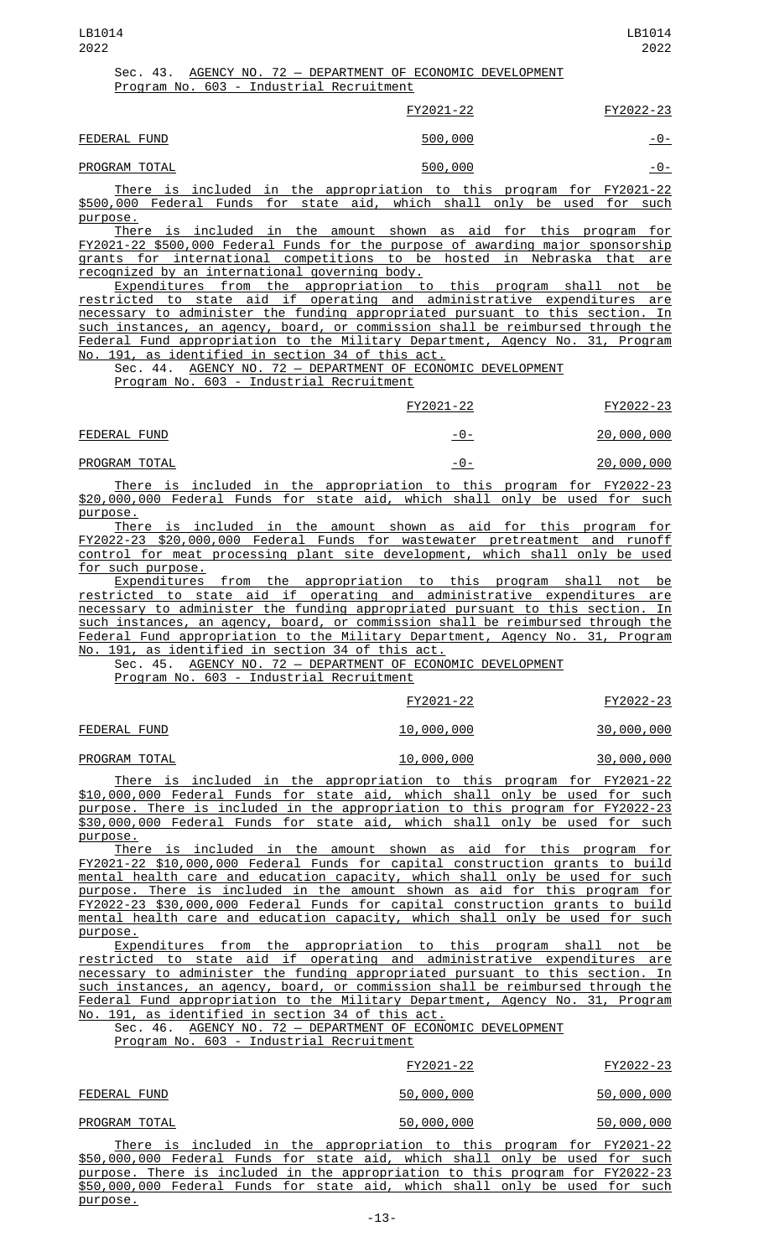| LB1014 |                                                             | LB1014    |
|--------|-------------------------------------------------------------|-----------|
| 2022   |                                                             | 2022      |
|        | Sec. 43. AGENCY NO. 72 - DEPARTMENT OF ECONOMIC DEVELOPMENT |           |
|        | Program No. 603 - Industrial Recruitment                    |           |
|        | FY2021-22                                                   | FY2022-23 |

| FEDERAL FUND | 500,000 | - 11 - |
|--------------|---------|--------|

PROGRAM TOTAL **600 -00-1000 -0-1000 -0-1000 -0-1000** -0-1000 -0-1000 -0-1000 -0-1000 -0-1000 -0-1000 -0-1000 -0-1000 -0-1000 -0-1000 -0-1000 -0-1000 -0-1000 -0-1000 -0-1000 -0-1000 -0-1000 -0-1000 -0-1000 -0-1000 -0-1000 -

There is included in the appropriation to this program for FY2021-22 \$500,000 Federal Funds for state aid, which shall only be used for such purpose.

There is included in the amount shown as aid for this program for FY2021-22 \$500,000 Federal Funds for the purpose of awarding major sponsorship grants for international competitions to be hosted in Nebraska that are recognized by an international governing body.

Expenditures from the appropriation to this program shall not be restricted to state aid if operating and administrative expenditures are necessary to administer the funding appropriated pursuant to this section. In such instances, an agency, board, or commission shall be reimbursed through the Federal Fund appropriation to the Military Department, Agency No. 31, Program No. 191, as identified in section 34 of this act.

Sec. 44. AGENCY NO. 72 - DEPARTMENT OF ECONOMIC DEVELOPMENT

Program No. 603 - Industrial Recruitment

|               | FY2021-22                                                            | FY2022-23         |
|---------------|----------------------------------------------------------------------|-------------------|
| FEDERAL FUND  | -0-                                                                  | <u>20,000,000</u> |
| PROGRAM TOTAL | -0-                                                                  | 20,000,000        |
|               | There is included in the appropriation to this prearam for EV2022.22 |                   |

There is included in the appropriation to this program for FY2022-23 \$20,000,000 Federal Funds for state aid, which shall only be used for such <u>purpose.</u><br>There

is included in the amount shown as aid for this program for FY2022-23 \$20,000,000 Federal Funds for wastewater pretreatment and runoff control for meat processing plant site development, which shall only be used for such purpose.

Expenditures from the appropriation to this program shall not be restricted to state aid if operating and administrative expenditures are necessary to administer the funding appropriated pursuant to this section. In such instances, an agency, board, or commission shall be reimbursed through the Federal Fund appropriation to the Military Department, Agency No. 31, Program No. 191, as identified in section 34 of this act.

Sec. 45. AGENCY NO. 72 - DEPARTMENT OF ECONOMIC DEVELOPMENT

Program No. 603 - Industrial Recruitment

|               |  |                                                                             | FY2021-22 |  | FY2022-23         |
|---------------|--|-----------------------------------------------------------------------------|-----------|--|-------------------|
| FEDERAL FUND  |  | <u>10,000,000</u>                                                           |           |  | <u>30,000,000</u> |
| PROGRAM TOTAL |  | 10,000,000                                                                  |           |  | 30,000,000        |
|               |  | <u>There is included in the appropriation to this program for FY2021-22</u> |           |  |                   |

\$10,000,000 Federal Funds for state aid, which shall only be used for such purpose. There is included in the appropriation to this program for FY2022-23 \$30,000,000 Federal Funds for state aid, which shall only be used for such purpose.

There is included in the amount shown as aid for this program for FY2021-22 \$10,000,000 Federal Funds for capital construction grants to build mental health care and education capacity, which shall only be used for such purpose. There is included in the amount shown as aid for this program for FY2022-23 \$30,000,000 Federal Funds for capital construction grants to build mental health care and education capacity, which shall only be used for such purpose.

Expenditures from the appropriation to this program shall not be restricted to state aid if operating and administrative expenditures are necessary to administer the funding appropriated pursuant to this section. In such instances, an agency, board, or commission shall be reimbursed through the Federal Fund appropriation to the Military Department, Agency No. 31, Program No. 191, as identified in section 34 of this act.

Sec. 46. AGENCY NO. 72 — DEPARTMENT OF ECONOMIC DEVELOPMENT Program No. 603 - Industrial Recruitment

|                                                                               | FY2021-22  | FY2022-23  |
|-------------------------------------------------------------------------------|------------|------------|
| FEDERAL FUND                                                                  | 50,000,000 | 50,000,000 |
| PROGRAM TOTAL                                                                 | 50,000,000 | 50,000,000 |
| There is included in the appropriation to this program for FY2021-22          |            |            |
| \$50,000,000 Federal Funds for state aid, which shall only be used for such   |            |            |
| purpose. There is included in the appropriation to this program for FY2022-23 |            |            |
| \$50,000,000 Federal Funds for state aid, which shall only be used for such   |            |            |
| purpose.                                                                      |            |            |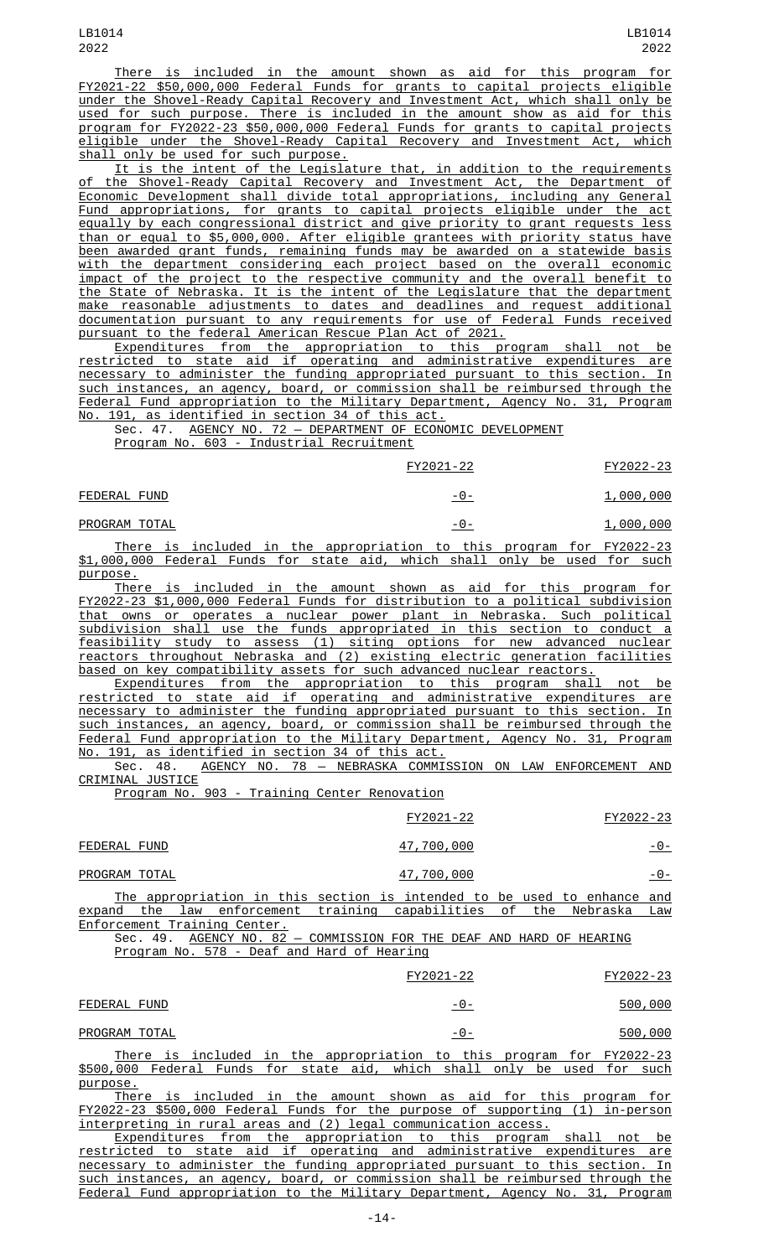There is included in the amount shown as aid for this program for FY2021-22 \$50,000,000 Federal Funds for grants to capital projects eligible under the Shovel-Ready Capital Recovery and Investment Act, which shall only be used for such purpose. There is included in the amount show as aid for this program for FY2022-23 \$50,000,000 Federal Funds for grants to capital projects eligible under the Shovel-Ready Capital Recovery and Investment Act, which shall only be used for such purpose.

It is the intent of the Legislature that, in addition to the requirements of the Shovel-Ready Capital Recovery and Investment Act, the Department of Economic Development shall divide total appropriations, including any General Fund appropriations, for grants to capital projects eligible under the act equally by each congressional district and give priority to grant requests less than or equal to \$5,000,000. After eligible grantees with priority status have been awarded grant funds, remaining funds may be awarded on a statewide basis with the department considering each project based on the overall economic impact of the project to the respective community and the overall benefit to the State of Nebraska. It is the intent of the Legislature that the department make reasonable adjustments to dates and deadlines and request additional documentation pursuant to any requirements for use of Federal Funds received pursuant to the federal American Rescue Plan Act of 2021.

Expenditures from the appropriation to this program shall not be restricted to state aid if operating and administrative expenditures are necessary to administer the funding appropriated pursuant to this section. In such instances, an agency, board, or commission shall be reimbursed through the Federal Fund appropriation to the Military Department, Agency No. 31, Program No. 191, as identified in section 34 of this act.

Sec. 47. AGENCY NO. 72 - DEPARTMENT OF ECONOMIC DEVELOPMENT

Program No. 603 - Industrial Recruitment

|               | FY2021-22  | FY2022-23 |
|---------------|------------|-----------|
| FEDERAL FUND  | <u>-0-</u> | 1,000,000 |
| PROGRAM TOTAL | -0-        | 1,000,000 |

There is included in the appropriation to this program for FY2022-23 \$1,000,000 Federal Funds for state aid, which shall only be used for such purpose.

There is included in the amount shown as aid for this program for FY2022-23 \$1,000,000 Federal Funds for distribution to a political subdivision that owns or operates a nuclear power plant in Nebraska. Such political subdivision shall use the funds appropriated in this section to conduct a feasibility study to assess (1) siting options for new advanced nuclear reactors throughout Nebraska and (2) existing electric generation facilities based on key compatibility assets for such advanced nuclear reactors.

Expenditures from the appropriation to this program shall not be restricted to state aid if operating and administrative expenditures are necessary to administer the funding appropriated pursuant to this section. In such instances, an agency, board, or commission shall be reimbursed through the Federal Fund appropriation to the Military Department, Agency No. 31, Program No. 191, as identified in section 34 of this act.

Sec. 48. AGENCY NO. 78 - NEBRASKA COMMISSION ON LAW ENFORCEMENT AND CRIMINAL JUSTICE

Program No. 903 - Training Center Renovation

|                                                                         | FY2021-22  | FY2022-23 |
|-------------------------------------------------------------------------|------------|-----------|
| FEDERAL FUND                                                            | 47,700,000 | -0-       |
| PROGRAM TOTAL                                                           | 47,700,000 | -0-       |
| The enprenriation in this section is intended to be used to enhance and |            |           |

The appropriation in this section is intended to be used to enhance and expand the law enforcement training capabilities of the Nebraska Law Enforcement Training Center.

|  |  | Sec. 49. AGENCY NO. 82 - COMMISSION FOR THE DEAF AND HARD OF HEARING |  |  |  |  |
|--|--|----------------------------------------------------------------------|--|--|--|--|
|  |  | Program No. 578 - Deaf and Hard of Hearing                           |  |  |  |  |

|               |  |                                                                      | FY2021-22 |  | FY2022-23 |
|---------------|--|----------------------------------------------------------------------|-----------|--|-----------|
| FEDERAL FUND  |  |                                                                      | -0-       |  | 500,000   |
| PROGRAM TOTAL |  |                                                                      | -0-       |  | 500,000   |
|               |  | There is included in the appropriation to this program for FY2022-23 |           |  |           |

\$500,000 Federal Funds for state aid, which shall only be used for such purpose.

There is included in the amount shown as aid for this program for FY2022-23 \$500,000 Federal Funds for the purpose of supporting (1) in-person interpreting in rural areas and (2) legal communication access.

Expenditures from the appropriation to this program shall not be restricted to state aid if operating and administrative expenditures are necessary to administer the funding appropriated pursuant to this section. In such instances, an agency, board, or commission shall be reimbursed through the Federal Fund appropriation to the Military Department, Agency No. 31, Program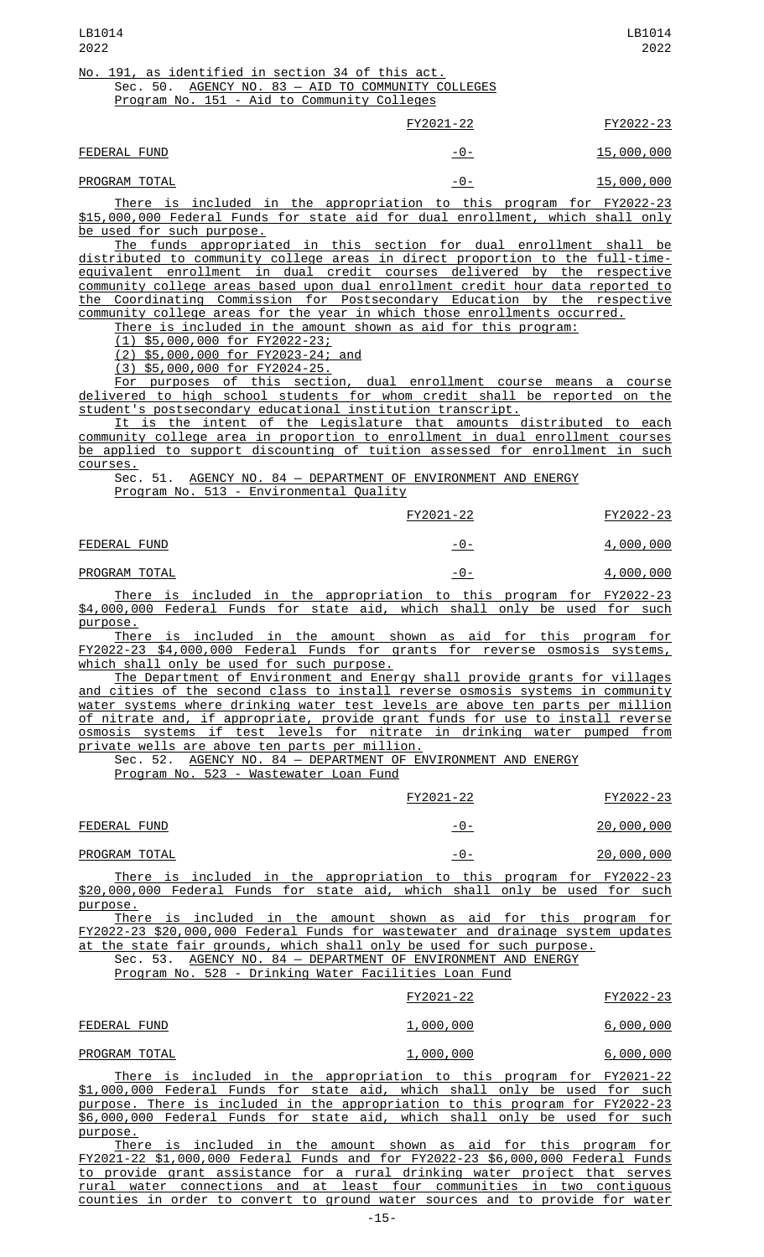|               | FY2021-22     | FY2022-23  |
|---------------|---------------|------------|
| FEDERAL FUND  | -0-           | 15,000,000 |
| PROGRAM TOTAL | <u>- 0 - </u> | 15,000,000 |

There is included in the appropriation to this program for FY2022-23 \$15,000,000 Federal Funds for state aid for dual enrollment, which shall only be used for such purpose.

The funds appropriated in this section for dual enrollment shall be distributed to community college areas in direct proportion to the full-timeequivalent enrollment in dual credit courses delivered by the respective community college areas based upon dual enrollment credit hour data reported to the Coordinating Commission for Postsecondary Education by the respective community college areas for the year in which those enrollments occurred.

There is included in the amount shown as aid for this program:

(1) \$5,000,000 for FY2022-23;

(2) \$5,000,000 for FY2023-24; and

Program No. 151 - Aid to Community Colleges

(3) \$5,000,000 for FY2024-25.

For purposes of this section, dual enrollment course means a course delivered to high school students for whom credit shall be reported on the student's postsecondary educational institution transcript.

It is the intent of the Legislature that amounts distributed to each community college area in proportion to enrollment in dual enrollment courses be applied to support discounting of tuition assessed for enrollment in such courses.

Sec. 51. AGENCY NO. 84 - DEPARTMENT OF ENVIRONMENT AND ENERGY Program No. 513 - Environmental Quality

|               |  |  |                                                                      | FY2021-22 |     |  | FY2022-23        |
|---------------|--|--|----------------------------------------------------------------------|-----------|-----|--|------------------|
| FEDERAL FUND  |  |  |                                                                      |           | -0- |  | 4,000,000        |
| PROGRAM TOTAL |  |  |                                                                      |           | -0- |  | <u>4,000,000</u> |
|               |  |  | There is included in the annronriation to this program for FY2022-23 |           |     |  |                  |

There is included in the appropriation to this program for FY2022-23 \$4,000,000 Federal Funds for state aid, which shall only be used for such purpose.

There is included in the amount shown as aid for this program for FY2022-23 \$4,000,000 Federal Funds for grants for reverse osmosis systems, which shall only be used for such purpose.

The Department of Environment and Energy shall provide grants for villages and cities of the second class to install reverse osmosis systems in community water systems where drinking water test levels are above ten parts per million of nitrate and, if appropriate, provide grant funds for use to install reverse osmosis systems if test levels for nitrate in drinking water pumped from private wells are above ten parts per million.

Sec. 52. <u>AGENCY NO. 84 - DEPARTMENT OF ENVIRONMENT AND ENERGY</u>

Program No. 523 - Wastewater Loan Fund

|               |  |                                                                      | FY2021-22 |       |  | FY2022-23          |
|---------------|--|----------------------------------------------------------------------|-----------|-------|--|--------------------|
| FEDERAL FUND  |  |                                                                      |           | $-0-$ |  | <u> 20,000,000</u> |
| PROGRAM TOTAL |  |                                                                      |           | -0-   |  | 20,000,000         |
|               |  | There is included in the appropriation to this program for FY2022-23 |           |       |  |                    |

\$20,000,000 Federal Funds for state aid, which shall only be used for such purpose.

There is included in the amount shown as aid for this program for FY2022-23 \$20,000,000 Federal Funds for wastewater and drainage system updates at the state fair grounds, which shall only be used for such purpose. Sec. 53. AGENCY NO. 84 - DEPARTMENT OF ENVIRONMENT AND ENERGY

Program No. 528 - Drinking Water Facilities Loan Fund

|                                                                      | FY2021-22        | FY2022-23        |
|----------------------------------------------------------------------|------------------|------------------|
| FEDERAL FUND                                                         | <u>1,000,000</u> | <u>6,000,000</u> |
| PROGRAM TOTAL                                                        | 1,000,000        | 6,000,000        |
| There is included in the appropriation to this program for EV2021.22 |                  |                  |

There is included in the appropriation to this program for FY2021-22 \$1,000,000 Federal Funds for state aid, which shall only be used for such purpose. There is included in the appropriation to this program for FY2022-23 \$6,000,000 Federal Funds for state aid, which shall only be used for such purpose.

There is included in the amount shown as aid for this program for FY2021-22 \$1,000,000 Federal Funds and for FY2022-23 \$6,000,000 Federal Funds to provide grant assistance for a rural drinking water project that serves rural water connections and at least four communities in two contiguous counties in order to convert to ground water sources and to provide for water